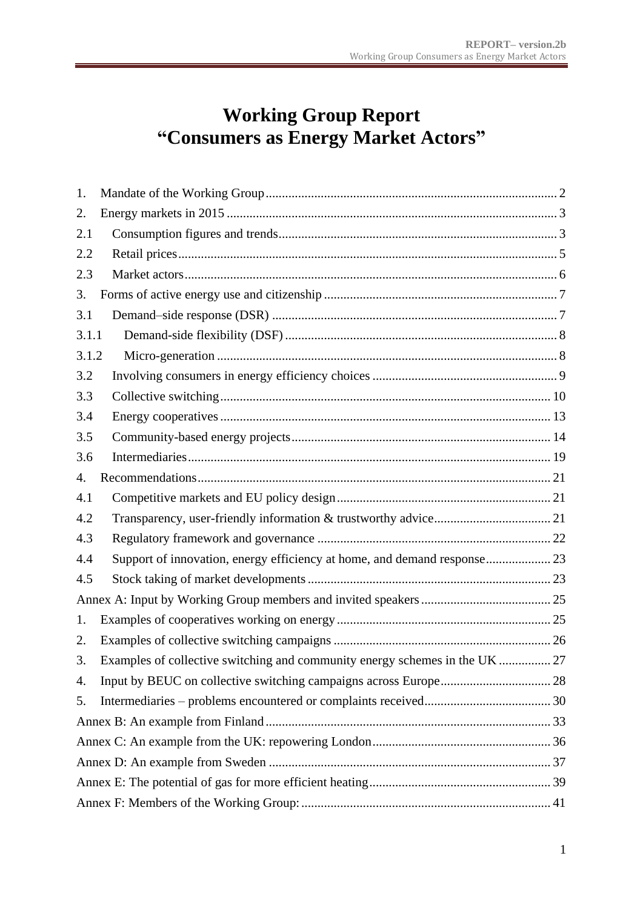# **Working Group Report "Consumers as Energy Market Actors"**

| 1.    |                                                                             |  |
|-------|-----------------------------------------------------------------------------|--|
| 2.    |                                                                             |  |
| 2.1   |                                                                             |  |
| 2.2   |                                                                             |  |
| 2.3   |                                                                             |  |
| 3.    |                                                                             |  |
| 3.1   |                                                                             |  |
| 3.1.1 |                                                                             |  |
| 3.1.2 |                                                                             |  |
| 3.2   |                                                                             |  |
| 3.3   |                                                                             |  |
| 3.4   |                                                                             |  |
| 3.5   |                                                                             |  |
| 3.6   |                                                                             |  |
| 4.    |                                                                             |  |
| 4.1   |                                                                             |  |
| 4.2   |                                                                             |  |
| 4.3   |                                                                             |  |
| 4.4   | Support of innovation, energy efficiency at home, and demand response 23    |  |
| 4.5   |                                                                             |  |
|       |                                                                             |  |
| 1.    |                                                                             |  |
| 2.    |                                                                             |  |
| 3.    | Examples of collective switching and community energy schemes in the UK  27 |  |
| 4.    |                                                                             |  |
| 5.    |                                                                             |  |
|       |                                                                             |  |
|       |                                                                             |  |
|       |                                                                             |  |
|       |                                                                             |  |
|       |                                                                             |  |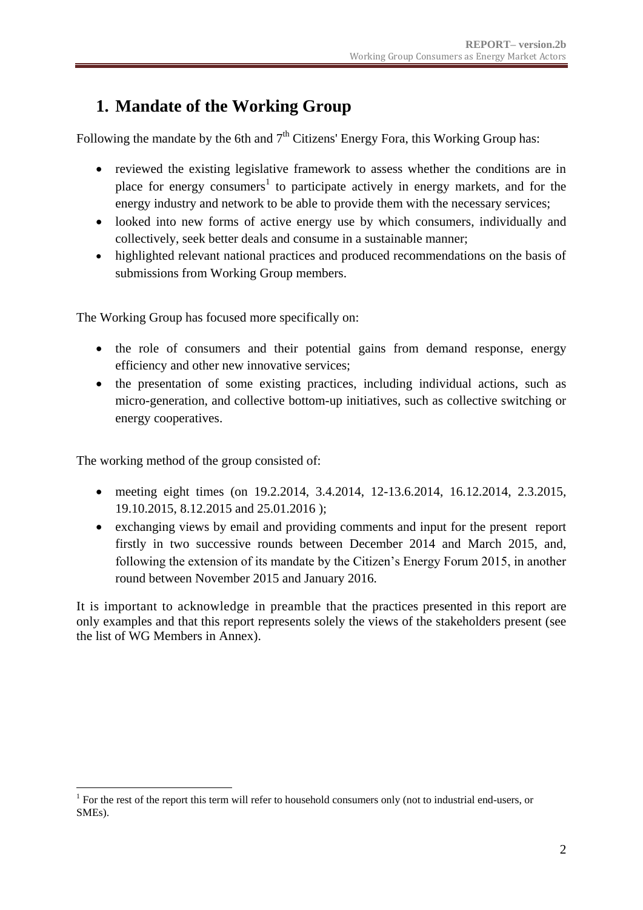## <span id="page-1-0"></span>**1. Mandate of the Working Group**

Following the mandate by the 6th and  $7<sup>th</sup>$  Citizens' Energy Fora, this Working Group has:

- reviewed the existing legislative framework to assess whether the conditions are in place for energy consumers<sup>1</sup> to participate actively in energy markets, and for the energy industry and network to be able to provide them with the necessary services;
- looked into new forms of active energy use by which consumers, individually and collectively, seek better deals and consume in a sustainable manner;
- highlighted relevant national practices and produced recommendations on the basis of submissions from Working Group members.

The Working Group has focused more specifically on:

- the role of consumers and their potential gains from demand response, energy efficiency and other new innovative services;
- the presentation of some existing practices, including individual actions, such as micro-generation, and collective bottom-up initiatives, such as collective switching or energy cooperatives.

The working method of the group consisted of:

1

- meeting eight times (on 19.2.2014, 3.4.2014, 12-13.6.2014, 16.12.2014, 2.3.2015, 19.10.2015, 8.12.2015 and 25.01.2016 );
- exchanging views by email and providing comments and input for the present report firstly in two successive rounds between December 2014 and March 2015, and, following the extension of its mandate by the Citizen's Energy Forum 2015, in another round between November 2015 and January 2016.

It is important to acknowledge in preamble that the practices presented in this report are only examples and that this report represents solely the views of the stakeholders present (see the list of WG Members in Annex).

<sup>&</sup>lt;sup>1</sup> For the rest of the report this term will refer to household consumers only (not to industrial end-users, or SMEs).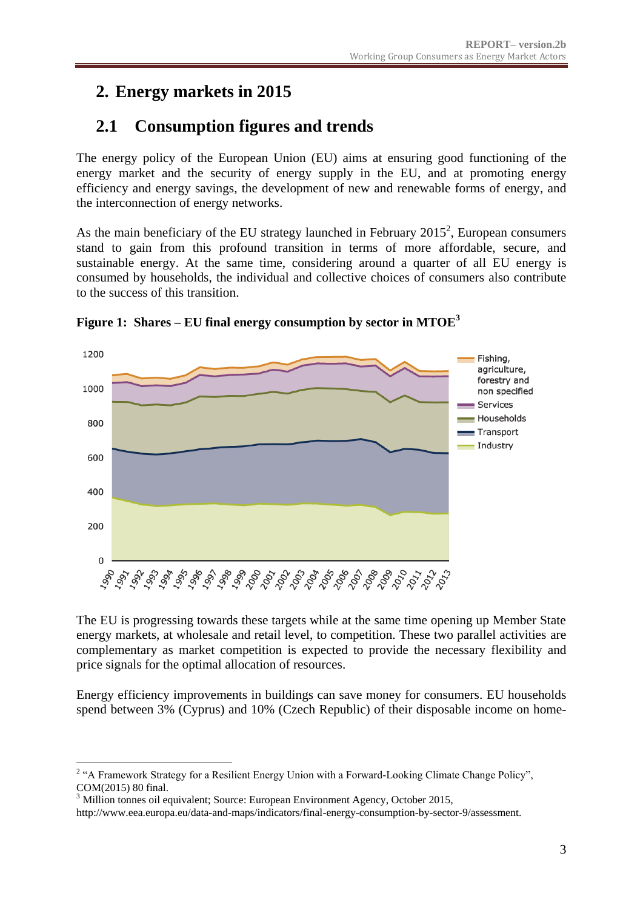## <span id="page-2-0"></span>**2. Energy markets in 2015**

## <span id="page-2-1"></span>**2.1 Consumption figures and trends**

The energy policy of the European Union (EU) aims at ensuring good functioning of the energy market and the security of energy supply in the EU, and at promoting energy efficiency and energy savings, the development of new and renewable forms of energy, and the interconnection of energy networks.

As the main beneficiary of the EU strategy launched in February  $2015^2$ , European consumers stand to gain from this profound transition in terms of more affordable, secure, and sustainable energy. At the same time, considering around a quarter of all EU energy is consumed by households, the individual and collective choices of consumers also contribute to the success of this transition.



**Figure 1: Shares – EU final energy consumption by sector in MTOE<sup>3</sup>**

The EU is progressing towards these targets while at the same time opening up Member State energy markets, at wholesale and retail level, to competition. These two parallel activities are complementary as market competition is expected to provide the necessary flexibility and price signals for the optimal allocation of resources.

Energy efficiency improvements in buildings can save money for consumers. EU households spend between 3% (Cyprus) and 10% (Czech Republic) of their disposable income on home-

<sup>1</sup> <sup>2</sup> "A Framework Strategy for a Resilient Energy Union with a Forward-Looking Climate Change Policy", COM(2015) 80 final.

<sup>&</sup>lt;sup>3</sup> Million tonnes oil equivalent; Source: European Environment Agency, October 2015,

http://www.eea.europa.eu/data-and-maps/indicators/final-energy-consumption-by-sector-9/assessment.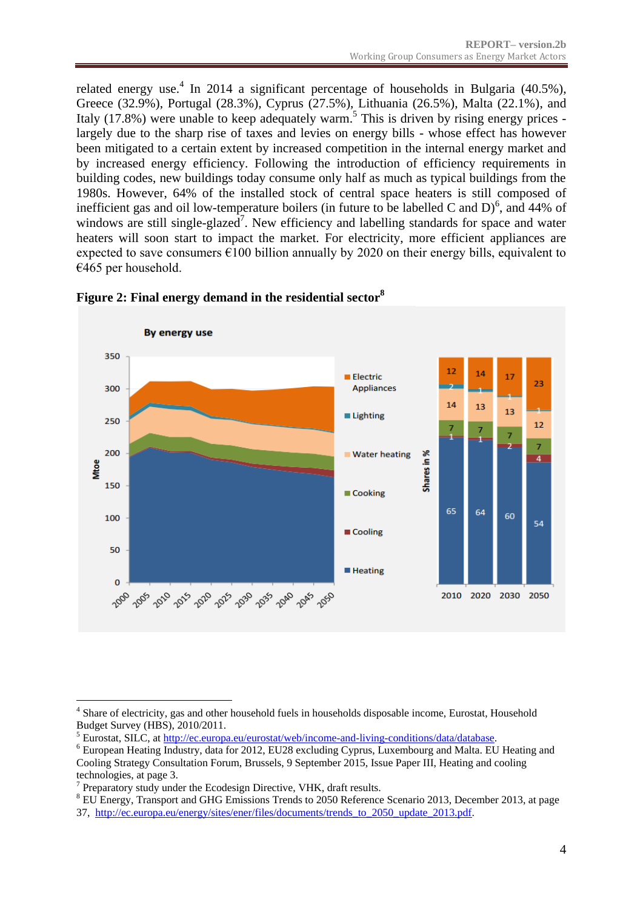related energy use.<sup>4</sup> In 2014 a significant percentage of households in Bulgaria (40.5%), Greece (32.9%), Portugal (28.3%), Cyprus (27.5%), Lithuania (26.5%), Malta (22.1%), and Italy (17.8%) were unable to keep adequately warm.<sup>5</sup> This is driven by rising energy prices largely due to the sharp rise of taxes and levies on energy bills - whose effect has however been mitigated to a certain extent by increased competition in the internal energy market and by increased energy efficiency. Following the introduction of efficiency requirements in building codes, new buildings today consume only half as much as typical buildings from the 1980s. However, 64% of the installed stock of central space heaters is still composed of inefficient gas and oil low-temperature boilers (in future to be labelled C and  $D$ )<sup>6</sup>, and 44% of windows are still single-glazed<sup>7</sup>. New efficiency and labelling standards for space and water heaters will soon start to impact the market. For electricity, more efficient appliances are expected to save consumers  $\epsilon$ 100 billion annually by 2020 on their energy bills, equivalent to  $€465$  per household.



**Figure 2: Final energy demand in the residential sector<sup>8</sup>**

<sup>&</sup>lt;u>.</u> <sup>4</sup> Share of electricity, gas and other household fuels in households disposable income, Eurostat, Household Budget Survey (HBS), 2010/2011.

<sup>5</sup> Eurostat, SILC, at [http://ec.europa.eu/eurostat/web/income-and-living-conditions/data/database.](http://ec.europa.eu/eurostat/web/income-and-living-conditions/data/database)

<sup>6</sup> European Heating Industry, data for 2012, EU28 excluding Cyprus, Luxembourg and Malta. EU Heating and Cooling Strategy Consultation Forum, Brussels, 9 September 2015, Issue Paper III, Heating and cooling technologies, at page 3.

<sup>&</sup>lt;sup>7</sup> Preparatory study under the Ecodesign Directive, VHK, draft results.

<sup>&</sup>lt;sup>8</sup> EU Energy, Transport and GHG Emissions Trends to 2050 Reference Scenario 2013, December 2013, at page 37, [http://ec.europa.eu/energy/sites/ener/files/documents/trends\\_to\\_2050\\_update\\_2013.pdf.](http://ec.europa.eu/energy/sites/ener/files/documents/trends_to_2050_update_2013.pdf)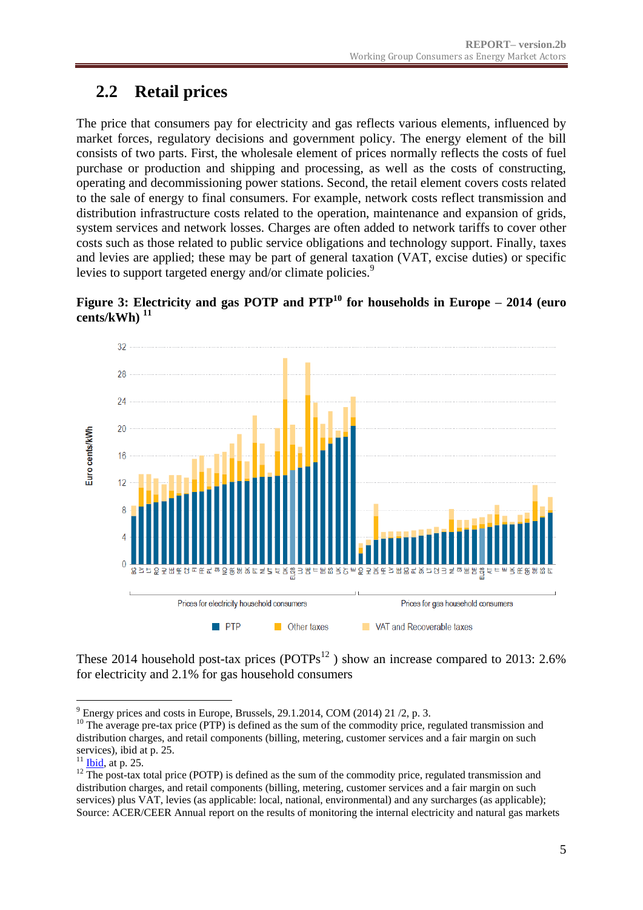## <span id="page-4-0"></span>**2.2 Retail prices**

The price that consumers pay for electricity and gas reflects various elements, influenced by market forces, regulatory decisions and government policy. The energy element of the bill consists of two parts. First, the wholesale element of prices normally reflects the costs of fuel purchase or production and shipping and processing, as well as the costs of constructing, operating and decommissioning power stations. Second, the retail element covers costs related to the sale of energy to final consumers. For example, network costs reflect transmission and distribution infrastructure costs related to the operation, maintenance and expansion of grids, system services and network losses. Charges are often added to network tariffs to cover other costs such as those related to public service obligations and technology support. Finally, taxes and levies are applied; these may be part of general taxation (VAT, excise duties) or specific levies to support targeted energy and/or climate policies.<sup>9</sup>





These 2014 household post-tax prices  $(POTPs^{12})$  show an increase compared to 2013: 2.6% for electricity and 2.1% for gas household consumers

<sup>&</sup>lt;u>.</u>  $9$  Energy prices and costs in Europe, Brussels, 29.1.2014, COM (2014) 21  $/2$ , p. 3.

 $10$  The average pre-tax price (PTP) is defined as the sum of the commodity price, regulated transmission and distribution charges, and retail components (billing, metering, customer services and a fair margin on such services), ibid at p. 25.

 $11$  [Ibid,](file://net1.cec.eu.int/JUST/E/6/04.%20INTEGRATION/05.%20ENERGY/2015/WG%20on%20Consumers%20as%20Energy%20Market%20Agents/8th%20Meeting%2025.01.2015/Meeting%20Documents/Ibid) at p. 25.

 $12$  The post-tax total price (POTP) is defined as the sum of the commodity price, regulated transmission and distribution charges, and retail components (billing, metering, customer services and a fair margin on such services) plus VAT, levies (as applicable: local, national, environmental) and any surcharges (as applicable); Source: ACER/CEER Annual report on the results of monitoring the internal electricity and natural gas markets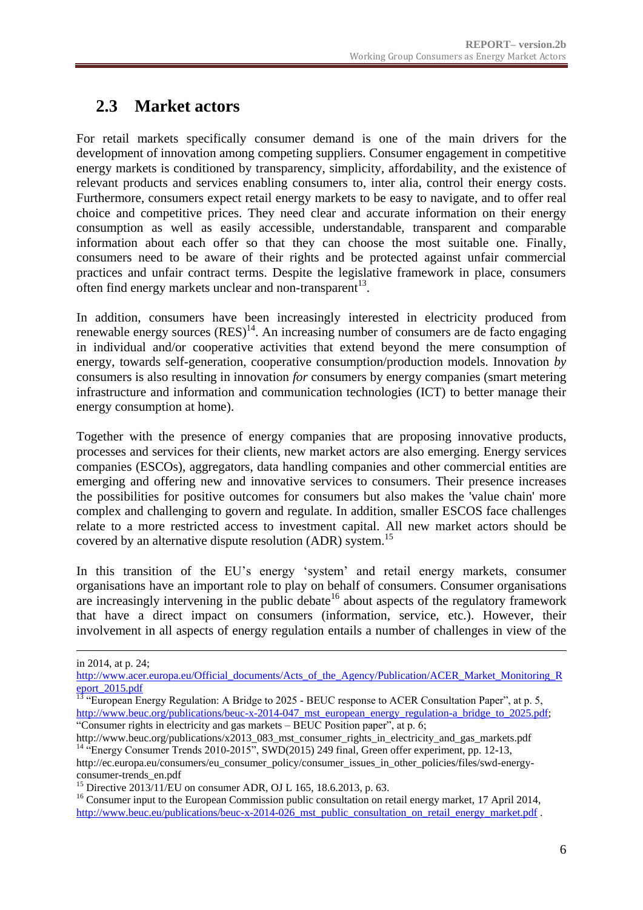## <span id="page-5-0"></span>**2.3 Market actors**

For retail markets specifically consumer demand is one of the main drivers for the development of innovation among competing suppliers. Consumer engagement in competitive energy markets is conditioned by transparency, simplicity, affordability, and the existence of relevant products and services enabling consumers to, inter alia, control their energy costs. Furthermore, consumers expect retail energy markets to be easy to navigate, and to offer real choice and competitive prices. They need clear and accurate information on their energy consumption as well as easily accessible, understandable, transparent and comparable information about each offer so that they can choose the most suitable one. Finally, consumers need to be aware of their rights and be protected against unfair commercial practices and unfair contract terms. Despite the legislative framework in place, consumers often find energy markets unclear and non-transparent $^{13}$ .

In addition, consumers have been increasingly interested in electricity produced from renewable energy sources  $(RES)^{14}$ . An increasing number of consumers are de facto engaging in individual and/or cooperative activities that extend beyond the mere consumption of energy, towards self-generation, cooperative consumption/production models. Innovation *by*  consumers is also resulting in innovation *for* consumers by energy companies (smart metering infrastructure and information and communication technologies (ICT) to better manage their energy consumption at home).

Together with the presence of energy companies that are proposing innovative products, processes and services for their clients, new market actors are also emerging. Energy services companies (ESCOs), aggregators, data handling companies and other commercial entities are emerging and offering new and innovative services to consumers. Their presence increases the possibilities for positive outcomes for consumers but also makes the 'value chain' more complex and challenging to govern and regulate. In addition, smaller ESCOS face challenges relate to a more restricted access to investment capital. All new market actors should be covered by an alternative dispute resolution (ADR) system.<sup>15</sup>

In this transition of the EU's energy 'system' and retail energy markets, consumer organisations have an important role to play on behalf of consumers. Consumer organisations are increasingly intervening in the public debate<sup>16</sup> about aspects of the regulatory framework that have a direct impact on consumers (information, service, etc.). However, their involvement in all aspects of energy regulation entails a number of challenges in view of the

<u>.</u>

in 2014, at p. 24;

[http://www.acer.europa.eu/Official\\_documents/Acts\\_of\\_the\\_Agency/Publication/ACER\\_Market\\_Monitoring\\_R](http://www.acer.europa.eu/Official_documents/Acts_of_the_Agency/Publication/ACER_Market_Monitoring_Report_2015.pdf) [eport\\_2015.pdf](http://www.acer.europa.eu/Official_documents/Acts_of_the_Agency/Publication/ACER_Market_Monitoring_Report_2015.pdf)

 $13$  "European Energy Regulation: A Bridge to 2025 - BEUC response to ACER Consultation Paper", at p. 5, http://www.beuc.org/publications/beuc-x-2014-047 mst\_european\_energy\_regulation-a\_bridge\_to\_2025.pdf; "Consumer rights in electricity and gas markets – BEUC Position paper", at p. 6;

http://www.beuc.org/publications/x2013\_083\_mst\_consumer\_rights\_in\_electricity\_and\_gas\_markets.pdf <sup>14</sup> "Energy Consumer Trends 2010-2015", SWD(2015) 249 final, Green offer experiment, pp. 12-13, http://ec.europa.eu/consumers/eu\_consumer\_policy/consumer\_issues\_in\_other\_policies/files/swd-energyconsumer-trends\_en.pdf

<sup>&</sup>lt;sup>15</sup> Directive 2013/11/EU on consumer ADR, OJ L 165, 18.6.2013, p. 63.

<sup>&</sup>lt;sup>16</sup> Consumer input to the European Commission public consultation on retail energy market, 17 April 2014, http://www.beuc.eu/publications/beuc-x-2014-026 mst\_public\_consultation\_on\_retail\_energy\_market.pdf .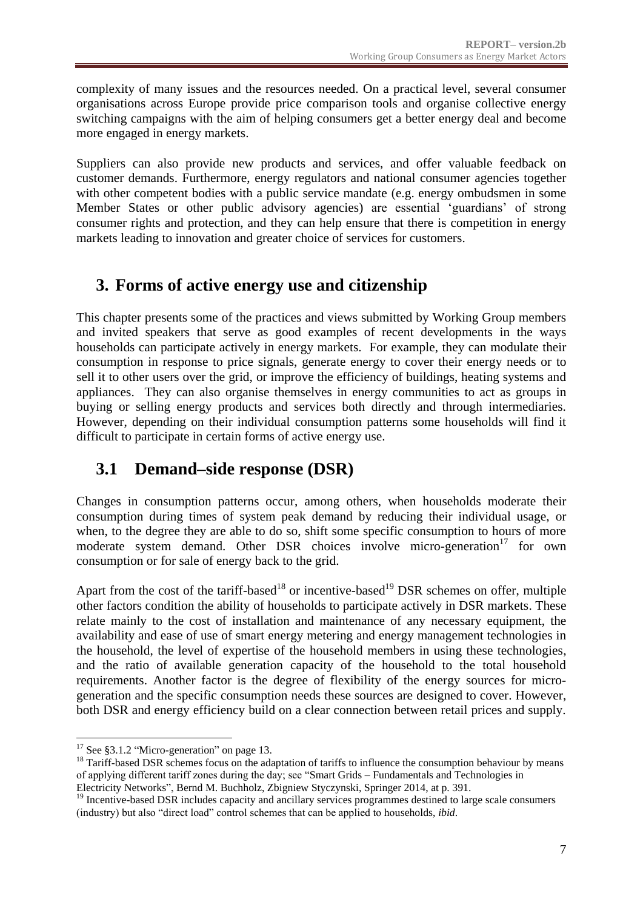complexity of many issues and the resources needed. On a practical level, several consumer organisations across Europe provide price comparison tools and organise collective energy switching campaigns with the aim of helping consumers get a better energy deal and become more engaged in energy markets.

Suppliers can also provide new products and services, and offer valuable feedback on customer demands. Furthermore, energy regulators and national consumer agencies together with other competent bodies with a public service mandate (e.g. energy ombudsmen in some Member States or other public advisory agencies) are essential 'guardians' of strong consumer rights and protection, and they can help ensure that there is competition in energy markets leading to innovation and greater choice of services for customers.

## <span id="page-6-0"></span>**3. Forms of active energy use and citizenship**

This chapter presents some of the practices and views submitted by Working Group members and invited speakers that serve as good examples of recent developments in the ways households can participate actively in energy markets. For example, they can modulate their consumption in response to price signals, generate energy to cover their energy needs or to sell it to other users over the grid, or improve the efficiency of buildings, heating systems and appliances. They can also organise themselves in energy communities to act as groups in buying or selling energy products and services both directly and through intermediaries. However, depending on their individual consumption patterns some households will find it difficult to participate in certain forms of active energy use.

## <span id="page-6-1"></span>**3.1 Demand–side response (DSR)**

Changes in consumption patterns occur, among others, when households moderate their consumption during times of system peak demand by reducing their individual usage, or when, to the degree they are able to do so, shift some specific consumption to hours of more moderate system demand. Other DSR choices involve micro-generation<sup>17</sup> for own consumption or for sale of energy back to the grid.

Apart from the cost of the tariff-based<sup>18</sup> or incentive-based<sup>19</sup> DSR schemes on offer, multiple other factors condition the ability of households to participate actively in DSR markets. These relate mainly to the cost of installation and maintenance of any necessary equipment, the availability and ease of use of smart energy metering and energy management technologies in the household, the level of expertise of the household members in using these technologies, and the ratio of available generation capacity of the household to the total household requirements. Another factor is the degree of flexibility of the energy sources for microgeneration and the specific consumption needs these sources are designed to cover. However, both DSR and energy efficiency build on a clear connection between retail prices and supply.

<sup>&</sup>lt;u>.</u> <sup>17</sup> See [§3.1.2](#page-7-1) ["Micro-generation" on page 13.](#page-7-1)

<sup>&</sup>lt;sup>18</sup> Tariff-based DSR schemes focus on the adaptation of tariffs to influence the consumption behaviour by means of applying different tariff zones during the day; see "Smart Grids – Fundamentals and Technologies in Electricity Networks", Bernd M. Buchholz, Zbigniew Styczynski, Springer 2014, at p. 391.

<sup>&</sup>lt;sup>19</sup> Incentive-based DSR includes capacity and ancillary services programmes destined to large scale consumers (industry) but also "direct load" control schemes that can be applied to households, *ibid*.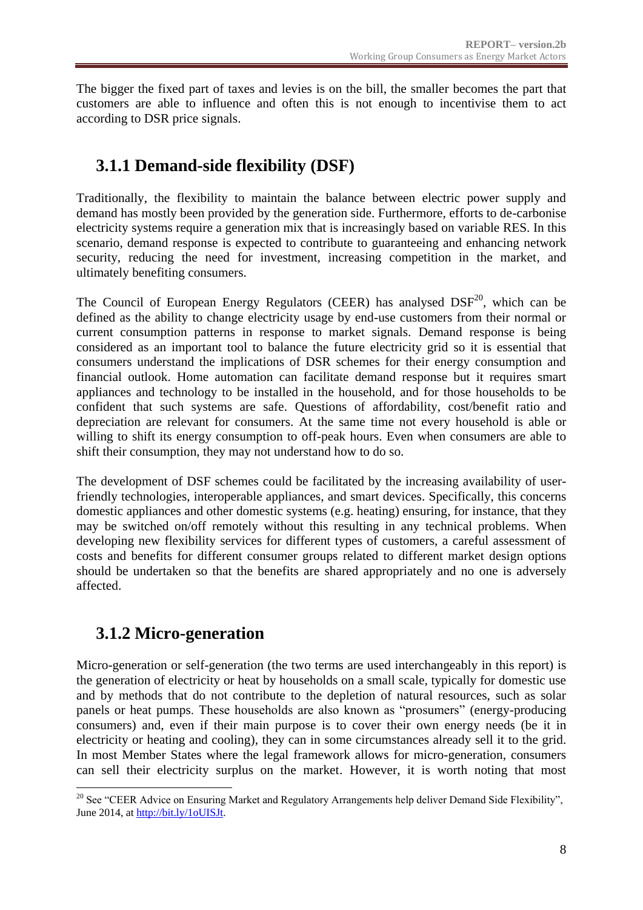The bigger the fixed part of taxes and levies is on the bill, the smaller becomes the part that customers are able to influence and often this is not enough to incentivise them to act according to DSR price signals.

## <span id="page-7-0"></span>**3.1.1 Demand-side flexibility (DSF)**

Traditionally, the flexibility to maintain the balance between electric power supply and demand has mostly been provided by the generation side. Furthermore, efforts to de-carbonise electricity systems require a generation mix that is increasingly based on variable RES. In this scenario, demand response is expected to contribute to guaranteeing and enhancing network security, reducing the need for investment, increasing competition in the market, and ultimately benefiting consumers.

The Council of European Energy Regulators (CEER) has analysed  $DSF<sup>20</sup>$ , which can be defined as the ability to change electricity usage by end-use customers from their normal or current consumption patterns in response to market signals. Demand response is being considered as an important tool to balance the future electricity grid so it is essential that consumers understand the implications of DSR schemes for their energy consumption and financial outlook. Home automation can facilitate demand response but it requires smart appliances and technology to be installed in the household, and for those households to be confident that such systems are safe. Questions of affordability, cost/benefit ratio and depreciation are relevant for consumers. At the same time not every household is able or willing to shift its energy consumption to off-peak hours. Even when consumers are able to shift their consumption, they may not understand how to do so.

The development of DSF schemes could be facilitated by the increasing availability of userfriendly technologies, interoperable appliances, and smart devices. Specifically, this concerns domestic appliances and other domestic systems (e.g. heating) ensuring, for instance, that they may be switched on/off remotely without this resulting in any technical problems. When developing new flexibility services for different types of customers, a careful assessment of costs and benefits for different consumer groups related to different market design options should be undertaken so that the benefits are shared appropriately and no one is adversely affected.

## <span id="page-7-1"></span>**3.1.2 Micro-generation**

Micro-generation or self-generation (the two terms are used interchangeably in this report) is the generation of electricity or heat by households on a small scale, typically for domestic use and by methods that do not contribute to the depletion of natural resources, such as solar panels or heat pumps. These households are also known as "prosumers" (energy-producing consumers) and, even if their main purpose is to cover their own energy needs (be it in electricity or heating and cooling), they can in some circumstances already sell it to the grid. In most Member States where the legal framework allows for micro-generation, consumers can sell their electricity surplus on the market. However, it is worth noting that most

<sup>1</sup> <sup>20</sup> See "CEER Advice on Ensuring Market and Regulatory Arrangements help deliver Demand Side Flexibility", June 2014, at [http://bit.ly/1oUISJt.](http://bit.ly/1oUISJt)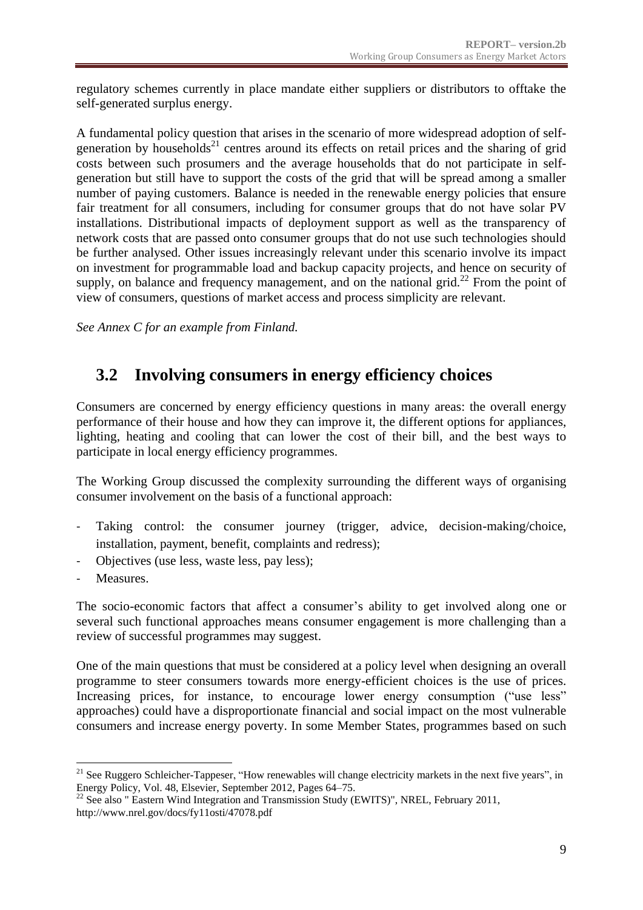regulatory schemes currently in place mandate either suppliers or distributors to offtake the self-generated surplus energy.

A fundamental policy question that arises in the scenario of more widespread adoption of selfgeneration by households<sup>21</sup> centres around its effects on retail prices and the sharing of grid costs between such prosumers and the average households that do not participate in selfgeneration but still have to support the costs of the grid that will be spread among a smaller number of paying customers. Balance is needed in the renewable energy policies that ensure fair treatment for all consumers, including for consumer groups that do not have solar PV installations. Distributional impacts of deployment support as well as the transparency of network costs that are passed onto consumer groups that do not use such technologies should be further analysed. Other issues increasingly relevant under this scenario involve its impact on investment for programmable load and backup capacity projects, and hence on security of supply, on balance and frequency management, and on the national grid.<sup>22</sup> From the point of view of consumers, questions of market access and process simplicity are relevant.

*See Annex C for an example from Finland.*

### <span id="page-8-0"></span>**3.2 Involving consumers in energy efficiency choices**

Consumers are concerned by energy efficiency questions in many areas: the overall energy performance of their house and how they can improve it, the different options for appliances, lighting, heating and cooling that can lower the cost of their bill, and the best ways to participate in local energy efficiency programmes.

The Working Group discussed the complexity surrounding the different ways of organising consumer involvement on the basis of a functional approach:

- Taking control: the consumer journey (trigger, advice, decision-making/choice, installation, payment, benefit, complaints and redress);
- Objectives (use less, waste less, pay less);
- Measures.

The socio-economic factors that affect a consumer's ability to get involved along one or several such functional approaches means consumer engagement is more challenging than a review of successful programmes may suggest.

One of the main questions that must be considered at a policy level when designing an overall programme to steer consumers towards more energy-efficient choices is the use of prices. Increasing prices, for instance, to encourage lower energy consumption ("use less" approaches) could have a disproportionate financial and social impact on the most vulnerable consumers and increase energy poverty. In some Member States, programmes based on such

<sup>1</sup>  $21$  See Ruggero Schleicher-Tappeser, "How renewables will change electricity markets in the next five years", in Energy Policy, Vol. 48, Elsevier, September 2012, Pages 64–75.

 $^{22}$  See also " Eastern Wind Integration and Transmission Study (EWITS)", NREL, February 2011, http://www.nrel.gov/docs/fy11osti/47078.pdf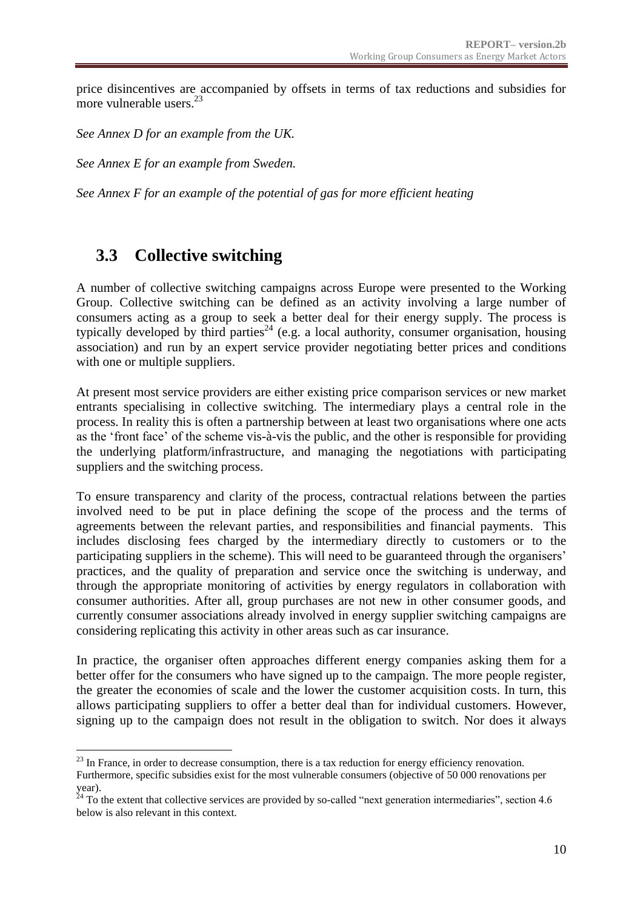price disincentives are accompanied by offsets in terms of tax reductions and subsidies for more vulnerable users.<sup>23</sup>

*See Annex D for an example from the UK.*

*See Annex E for an example from Sweden.*

*See Annex F for an example of the potential of gas for more efficient heating*

### <span id="page-9-0"></span>**3.3 Collective switching**

1

A number of collective switching campaigns across Europe were presented to the Working Group. Collective switching can be defined as an activity involving a large number of consumers acting as a group to seek a better deal for their energy supply. The process is typically developed by third parties<sup>24</sup> (e.g. a local authority, consumer organisation, housing association) and run by an expert service provider negotiating better prices and conditions with one or multiple suppliers.

At present most service providers are either existing price comparison services or new market entrants specialising in collective switching. The intermediary plays a central role in the process. In reality this is often a partnership between at least two organisations where one acts as the 'front face' of the scheme vis-à-vis the public, and the other is responsible for providing the underlying platform/infrastructure, and managing the negotiations with participating suppliers and the switching process.

To ensure transparency and clarity of the process, contractual relations between the parties involved need to be put in place defining the scope of the process and the terms of agreements between the relevant parties, and responsibilities and financial payments. This includes disclosing fees charged by the intermediary directly to customers or to the participating suppliers in the scheme). This will need to be guaranteed through the organisers' practices, and the quality of preparation and service once the switching is underway, and through the appropriate monitoring of activities by energy regulators in collaboration with consumer authorities. After all, group purchases are not new in other consumer goods, and currently consumer associations already involved in energy supplier switching campaigns are considering replicating this activity in other areas such as car insurance.

In practice, the organiser often approaches different energy companies asking them for a better offer for the consumers who have signed up to the campaign. The more people register, the greater the economies of scale and the lower the customer acquisition costs. In turn, this allows participating suppliers to offer a better deal than for individual customers. However, signing up to the campaign does not result in the obligation to switch. Nor does it always

<sup>&</sup>lt;sup>23</sup> In France, in order to decrease consumption, there is a tax reduction for energy efficiency renovation.

Furthermore, specific subsidies exist for the most vulnerable consumers (objective of 50 000 renovations per year).

 $24$  To the extent that collective services are provided by so-called "next generation intermediaries", section 4.6 below is also relevant in this context.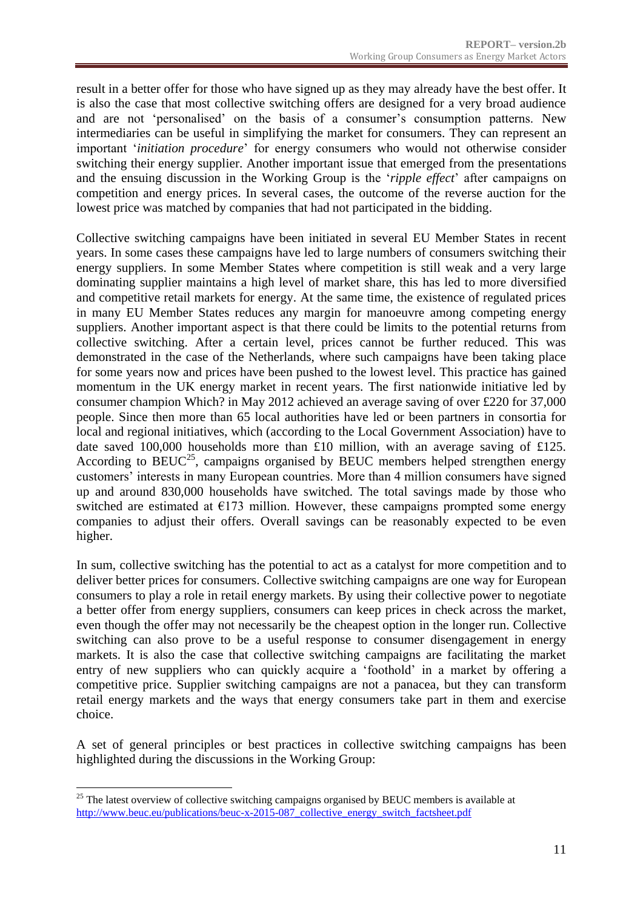result in a better offer for those who have signed up as they may already have the best offer. It is also the case that most collective switching offers are designed for a very broad audience and are not 'personalised' on the basis of a consumer's consumption patterns. New intermediaries can be useful in simplifying the market for consumers. They can represent an important '*initiation procedure*' for energy consumers who would not otherwise consider switching their energy supplier. Another important issue that emerged from the presentations and the ensuing discussion in the Working Group is the '*ripple effect*' after campaigns on competition and energy prices. In several cases, the outcome of the reverse auction for the lowest price was matched by companies that had not participated in the bidding.

Collective switching campaigns have been initiated in several EU Member States in recent years. In some cases these campaigns have led to large numbers of consumers switching their energy suppliers. In some Member States where competition is still weak and a very large dominating supplier maintains a high level of market share, this has led to more diversified and competitive retail markets for energy. At the same time, the existence of regulated prices in many EU Member States reduces any margin for manoeuvre among competing energy suppliers. Another important aspect is that there could be limits to the potential returns from collective switching. After a certain level, prices cannot be further reduced. This was demonstrated in the case of the Netherlands, where such campaigns have been taking place for some years now and prices have been pushed to the lowest level. This practice has gained momentum in the UK energy market in recent years. The first nationwide initiative led by consumer champion Which? in May 2012 achieved an average saving of over £220 for 37,000 people. Since then more than 65 local authorities have led or been partners in consortia for local and regional initiatives, which (according to the Local Government Association) have to date saved 100,000 households more than £10 million, with an average saving of £125. According to  $BEUC^{25}$ , campaigns organised by BEUC members helped strengthen energy customers' interests in many European countries. More than 4 million consumers have signed up and around 830,000 households have switched. The total savings made by those who switched are estimated at  $E173$  million. However, these campaigns prompted some energy companies to adjust their offers. Overall savings can be reasonably expected to be even higher.

In sum, collective switching has the potential to act as a catalyst for more competition and to deliver better prices for consumers. Collective switching campaigns are one way for European consumers to play a role in retail energy markets. By using their collective power to negotiate a better offer from energy suppliers, consumers can keep prices in check across the market, even though the offer may not necessarily be the cheapest option in the longer run. Collective switching can also prove to be a useful response to consumer disengagement in energy markets. It is also the case that collective switching campaigns are facilitating the market entry of new suppliers who can quickly acquire a 'foothold' in a market by offering a competitive price. Supplier switching campaigns are not a panacea, but they can transform retail energy markets and the ways that energy consumers take part in them and exercise choice.

A set of general principles or best practices in collective switching campaigns has been highlighted during the discussions in the Working Group:

1

<sup>&</sup>lt;sup>25</sup> The latest overview of collective switching campaigns organised by BEUC members is available at [http://www.beuc.eu/publications/beuc-x-2015-087\\_collective\\_energy\\_switch\\_factsheet.pdf](http://www.beuc.eu/publications/beuc-x-2015-087_collective_energy_switch_factsheet.pdf)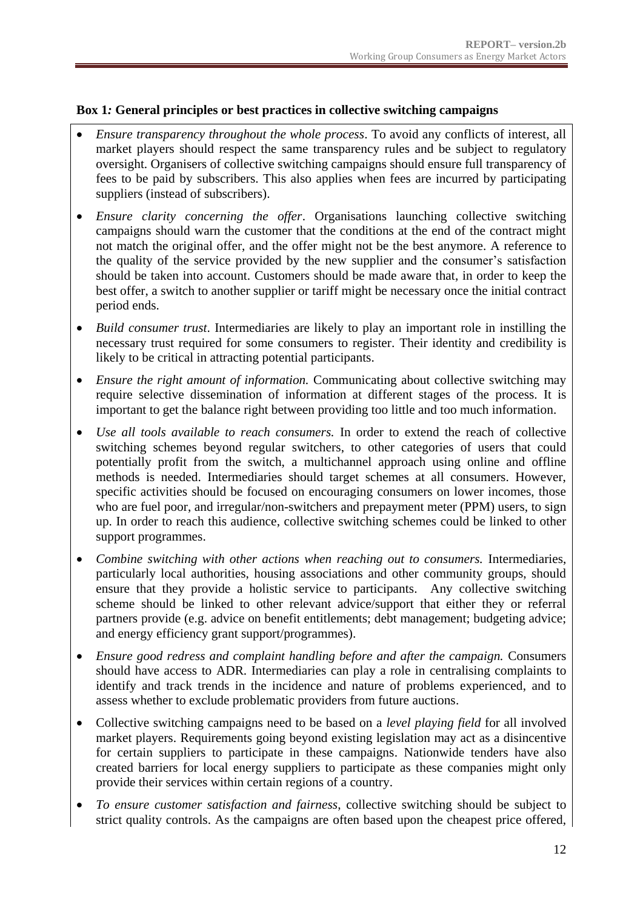#### **Box 1***:* **General principles or best practices in collective switching campaigns**

- *Ensure transparency throughout the whole process*. To avoid any conflicts of interest, all market players should respect the same transparency rules and be subject to regulatory oversight. Organisers of collective switching campaigns should ensure full transparency of fees to be paid by subscribers. This also applies when fees are incurred by participating suppliers (instead of subscribers).
- *Ensure clarity concerning the offer*. Organisations launching collective switching campaigns should warn the customer that the conditions at the end of the contract might not match the original offer, and the offer might not be the best anymore. A reference to the quality of the service provided by the new supplier and the consumer's satisfaction should be taken into account. Customers should be made aware that, in order to keep the best offer, a switch to another supplier or tariff might be necessary once the initial contract period ends.
- *Build consumer trust*. Intermediaries are likely to play an important role in instilling the necessary trust required for some consumers to register. Their identity and credibility is likely to be critical in attracting potential participants.
- *Ensure the right amount of information.* Communicating about collective switching may require selective dissemination of information at different stages of the process. It is important to get the balance right between providing too little and too much information.
- *Use all tools available to reach consumers.* In order to extend the reach of collective switching schemes beyond regular switchers, to other categories of users that could potentially profit from the switch, a multichannel approach using online and offline methods is needed. Intermediaries should target schemes at all consumers. However, specific activities should be focused on encouraging consumers on lower incomes, those who are fuel poor, and irregular/non-switchers and prepayment meter (PPM) users, to sign up. In order to reach this audience, collective switching schemes could be linked to other support programmes.
- Combine switching with other actions when reaching out to consumers. Intermediaries, particularly local authorities, housing associations and other community groups, should ensure that they provide a holistic service to participants. Any collective switching scheme should be linked to other relevant advice/support that either they or referral partners provide (e.g. advice on benefit entitlements; debt management; budgeting advice; and energy efficiency grant support/programmes).
- *Ensure good redress and complaint handling before and after the campaign.* Consumers should have access to ADR. Intermediaries can play a role in centralising complaints to identify and track trends in the incidence and nature of problems experienced, and to assess whether to exclude problematic providers from future auctions.
- Collective switching campaigns need to be based on a *level playing field* for all involved market players. Requirements going beyond existing legislation may act as a disincentive for certain suppliers to participate in these campaigns. Nationwide tenders have also created barriers for local energy suppliers to participate as these companies might only provide their services within certain regions of a country.
- *To ensure customer satisfaction and fairness*, collective switching should be subject to strict quality controls. As the campaigns are often based upon the cheapest price offered,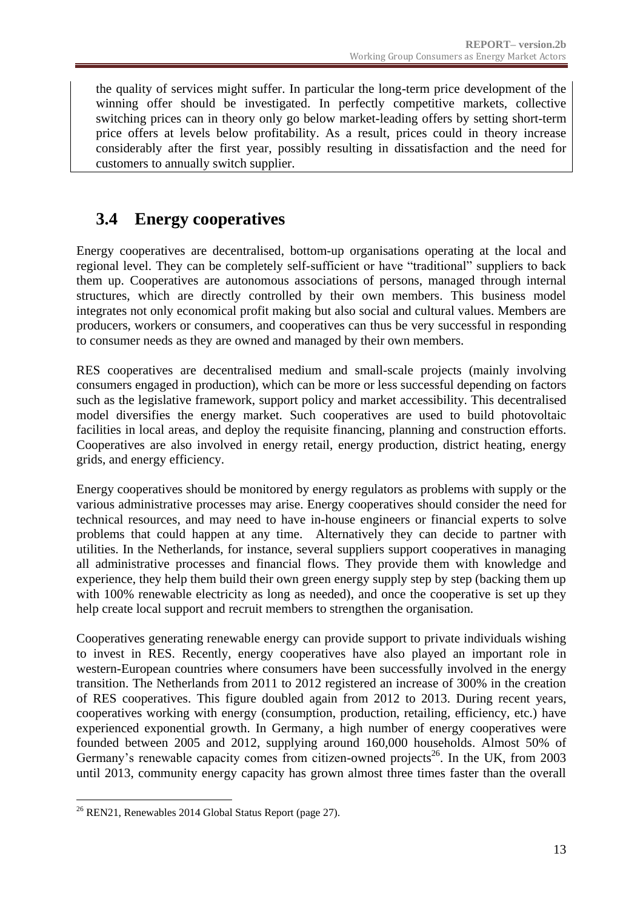the quality of services might suffer. In particular the long-term price development of the winning offer should be investigated. In perfectly competitive markets, collective switching prices can in theory only go below market-leading offers by setting short-term price offers at levels below profitability. As a result, prices could in theory increase considerably after the first year, possibly resulting in dissatisfaction and the need for customers to annually switch supplier.

## <span id="page-12-0"></span>**3.4 Energy cooperatives**

Energy cooperatives are decentralised, bottom-up organisations operating at the local and regional level. They can be completely self-sufficient or have "traditional" suppliers to back them up. Cooperatives are autonomous associations of persons, managed through internal structures, which are directly controlled by their own members. This business model integrates not only economical profit making but also social and cultural values. Members are producers, workers or consumers, and cooperatives can thus be very successful in responding to consumer needs as they are owned and managed by their own members.

RES cooperatives are decentralised medium and small-scale projects (mainly involving consumers engaged in production), which can be more or less successful depending on factors such as the legislative framework, support policy and market accessibility. This decentralised model diversifies the energy market. Such cooperatives are used to build photovoltaic facilities in local areas, and deploy the requisite financing, planning and construction efforts. Cooperatives are also involved in energy retail, energy production, district heating, energy grids, and energy efficiency.

Energy cooperatives should be monitored by energy regulators as problems with supply or the various administrative processes may arise. Energy cooperatives should consider the need for technical resources, and may need to have in-house engineers or financial experts to solve problems that could happen at any time. Alternatively they can decide to partner with utilities. In the Netherlands, for instance, several suppliers support cooperatives in managing all administrative processes and financial flows. They provide them with knowledge and experience, they help them build their own green energy supply step by step (backing them up with 100% renewable electricity as long as needed), and once the cooperative is set up they help create local support and recruit members to strengthen the organisation.

Cooperatives generating renewable energy can provide support to private individuals wishing to invest in RES. Recently, energy cooperatives have also played an important role in western-European countries where consumers have been successfully involved in the energy transition. The Netherlands from 2011 to 2012 registered an increase of 300% in the creation of RES cooperatives. This figure doubled again from 2012 to 2013. During recent years, cooperatives working with energy (consumption, production, retailing, efficiency, etc.) have experienced exponential growth. In Germany, a high number of energy cooperatives were founded between 2005 and 2012, supplying around 160,000 households. Almost 50% of Germany's renewable capacity comes from citizen-owned projects<sup>26</sup>. In the UK, from 2003 until 2013, community energy capacity has grown almost three times faster than the overall

<sup>1</sup> <sup>26</sup> REN21, Renewables 2014 Global Status Report (page 27).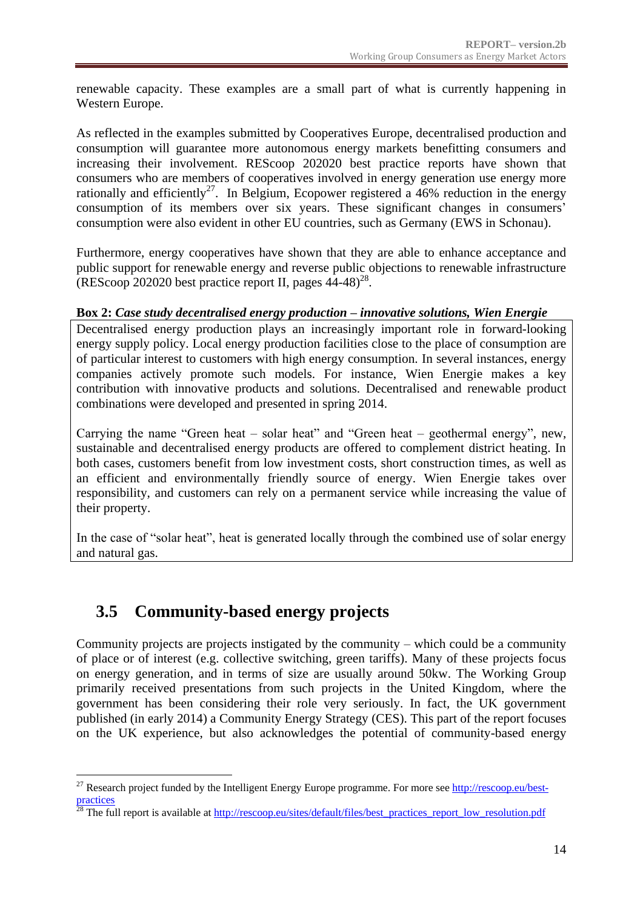renewable capacity. These examples are a small part of what is currently happening in Western Europe.

As reflected in the examples submitted by Cooperatives Europe, decentralised production and consumption will guarantee more autonomous energy markets benefitting consumers and increasing their involvement. REScoop 202020 best practice reports have shown that consumers who are members of cooperatives involved in energy generation use energy more rationally and efficiently<sup>27</sup>. In Belgium, Ecopower registered a 46% reduction in the energy consumption of its members over six years. These significant changes in consumers' consumption were also evident in other EU countries, such as Germany (EWS in Schonau).

Furthermore, energy cooperatives have shown that they are able to enhance acceptance and public support for renewable energy and reverse public objections to renewable infrastructure  $(REScoop 202020$  best practice report II, pages  $44-48)^{28}$ .

#### **Box 2:** *Case study decentralised energy production – innovative solutions, Wien Energie*

Decentralised energy production plays an increasingly important role in forward-looking energy supply policy. Local energy production facilities close to the place of consumption are of particular interest to customers with high energy consumption. In several instances, energy companies actively promote such models. For instance, Wien Energie makes a key contribution with innovative products and solutions. Decentralised and renewable product combinations were developed and presented in spring 2014.

Carrying the name "Green heat – solar heat" and "Green heat – geothermal energy", new, sustainable and decentralised energy products are offered to complement district heating. In both cases, customers benefit from low investment costs, short construction times, as well as an efficient and environmentally friendly source of energy. Wien Energie takes over responsibility, and customers can rely on a permanent service while increasing the value of their property.

In the case of "solar heat", heat is generated locally through the combined use of solar energy and natural gas.

### <span id="page-13-0"></span>**3.5 Community-based energy projects**

Community projects are projects instigated by the community – which could be a community of place or of interest (e.g. collective switching, green tariffs). Many of these projects focus on energy generation, and in terms of size are usually around 50kw. The Working Group primarily received presentations from such projects in the United Kingdom, where the government has been considering their role very seriously. In fact, the UK government published (in early 2014) a Community Energy Strategy (CES). This part of the report focuses on the UK experience, but also acknowledges the potential of community-based energy

<sup>&</sup>lt;u>.</u> <sup>27</sup> Research project funded by the Intelligent Energy Europe programme. For more see  $\frac{http://rescoop.eu/best-1}{http://rescoop.eu/best-1}$ [practices](http://rescoop.eu/best-practices)

<sup>&</sup>lt;sup>28</sup> The full report is available at [http://rescoop.eu/sites/default/files/best\\_practices\\_report\\_low\\_resolution.pdf](http://rescoop.eu/sites/default/files/best_practices_report_low_resolution.pdf)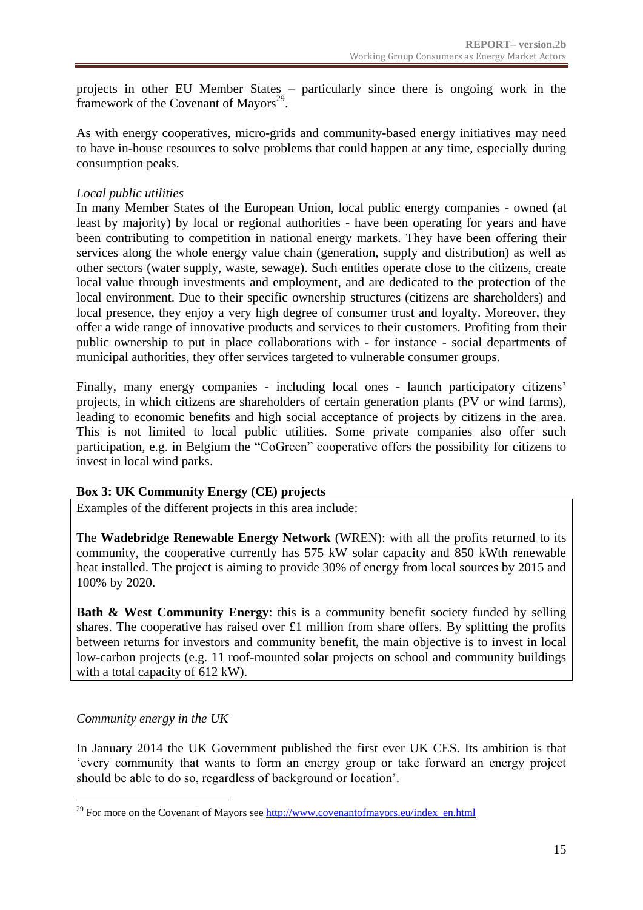projects in other EU Member States – particularly since there is ongoing work in the framework of the Covenant of Mayors<sup>29</sup>.

As with energy cooperatives, micro-grids and community-based energy initiatives may need to have in-house resources to solve problems that could happen at any time, especially during consumption peaks.

#### *Local public utilities*

In many Member States of the European Union, local public energy companies - owned (at least by majority) by local or regional authorities - have been operating for years and have been contributing to competition in national energy markets. They have been offering their services along the whole energy value chain (generation, supply and distribution) as well as other sectors (water supply, waste, sewage). Such entities operate close to the citizens, create local value through investments and employment, and are dedicated to the protection of the local environment. Due to their specific ownership structures (citizens are shareholders) and local presence, they enjoy a very high degree of consumer trust and loyalty. Moreover, they offer a wide range of innovative products and services to their customers. Profiting from their public ownership to put in place collaborations with - for instance - social departments of municipal authorities, they offer services targeted to vulnerable consumer groups.

Finally, many energy companies - including local ones - launch participatory citizens' projects, in which citizens are shareholders of certain generation plants (PV or wind farms), leading to economic benefits and high social acceptance of projects by citizens in the area. This is not limited to local public utilities. Some private companies also offer such participation, e.g. in Belgium the "CoGreen" cooperative offers the possibility for citizens to invest in local wind parks.

#### **Box 3: UK Community Energy (CE) projects**

Examples of the different projects in this area include:

The **Wadebridge Renewable Energy Network** (WREN): with all the profits returned to its community, the cooperative currently has 575 kW solar capacity and 850 kWth renewable heat installed. The project is aiming to provide 30% of energy from local sources by 2015 and 100% by 2020.

**Bath & West Community Energy:** this is a community benefit society funded by selling shares. The cooperative has raised over £1 million from share offers. By splitting the profits between returns for investors and community benefit, the main objective is to invest in local low-carbon projects (e.g. 11 roof-mounted solar projects on school and community buildings with a total capacity of 612 kW).

#### *Community energy in the UK*

1

In January 2014 the UK Government published the first ever UK CES. Its ambition is that 'every community that wants to form an energy group or take forward an energy project should be able to do so, regardless of background or location'.

<sup>&</sup>lt;sup>29</sup> For more on the Covenant of Mayors se[e http://www.covenantofmayors.eu/index\\_en.html](http://www.covenantofmayors.eu/index_en.html)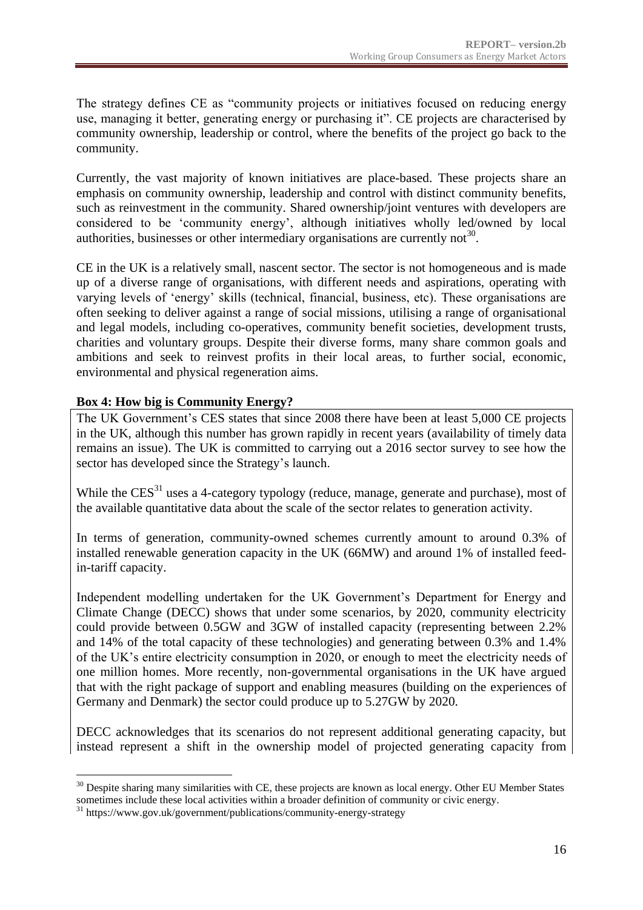The strategy defines CE as "community projects or initiatives focused on reducing energy use, managing it better, generating energy or purchasing it". CE projects are characterised by community ownership, leadership or control, where the benefits of the project go back to the community.

Currently, the vast majority of known initiatives are place-based. These projects share an emphasis on community ownership, leadership and control with distinct community benefits, such as reinvestment in the community. Shared ownership/joint ventures with developers are considered to be 'community energy', although initiatives wholly led/owned by local authorities, businesses or other intermediary organisations are currently not<sup>30</sup>.

CE in the UK is a relatively small, nascent sector. The sector is not homogeneous and is made up of a diverse range of organisations, with different needs and aspirations, operating with varying levels of 'energy' skills (technical, financial, business, etc). These organisations are often seeking to deliver against a range of social missions, utilising a range of organisational and legal models, including co-operatives, community benefit societies, development trusts, charities and voluntary groups. Despite their diverse forms, many share common goals and ambitions and seek to reinvest profits in their local areas, to further social, economic, environmental and physical regeneration aims.

### **Box 4: How big is Community Energy?**

The UK Government's CES states that since 2008 there have been at least 5,000 CE projects in the UK, although this number has grown rapidly in recent years (availability of timely data remains an issue). The UK is committed to carrying out a 2016 sector survey to see how the sector has developed since the Strategy's launch.

While the  $CES^{31}$  uses a 4-category typology (reduce, manage, generate and purchase), most of the available quantitative data about the scale of the sector relates to generation activity.

In terms of generation, community-owned schemes currently amount to around 0.3% of installed renewable generation capacity in the UK (66MW) and around 1% of installed feedin-tariff capacity.

Independent modelling undertaken for the UK Government's Department for Energy and Climate Change (DECC) shows that under some scenarios, by 2020, community electricity could provide between 0.5GW and 3GW of installed capacity (representing between 2.2% and 14% of the total capacity of these technologies) and generating between 0.3% and 1.4% of the UK's entire electricity consumption in 2020, or enough to meet the electricity needs of one million homes. More recently, non-governmental organisations in the UK have argued that with the right package of support and enabling measures (building on the experiences of Germany and Denmark) the sector could produce up to 5.27GW by 2020.

DECC acknowledges that its scenarios do not represent additional generating capacity, but instead represent a shift in the ownership model of projected generating capacity from

<sup>&</sup>lt;u>.</u> <sup>30</sup> Despite sharing many similarities with CE, these projects are known as local energy. Other EU Member States sometimes include these local activities within a broader definition of community or civic energy.

 $31$  https://www.gov.uk/government/publications/community-energy-strategy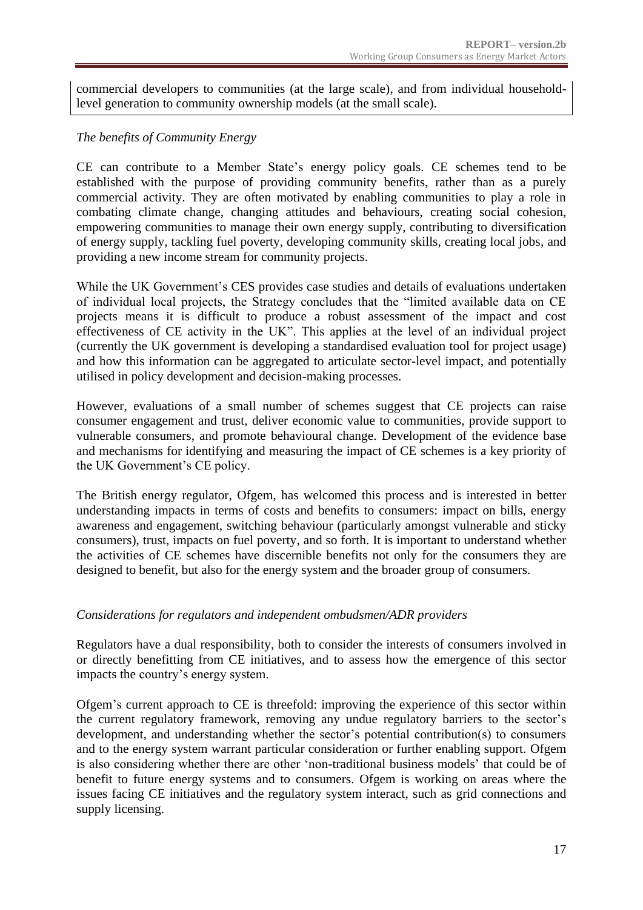commercial developers to communities (at the large scale), and from individual householdlevel generation to community ownership models (at the small scale).

### *The benefits of Community Energy*

CE can contribute to a Member State's energy policy goals. CE schemes tend to be established with the purpose of providing community benefits, rather than as a purely commercial activity. They are often motivated by enabling communities to play a role in combating climate change, changing attitudes and behaviours, creating social cohesion, empowering communities to manage their own energy supply, contributing to diversification of energy supply, tackling fuel poverty, developing community skills, creating local jobs, and providing a new income stream for community projects.

While the UK Government's CES provides case studies and details of evaluations undertaken of individual local projects, the Strategy concludes that the "limited available data on CE projects means it is difficult to produce a robust assessment of the impact and cost effectiveness of CE activity in the UK". This applies at the level of an individual project (currently the UK government is developing a standardised evaluation tool for project usage) and how this information can be aggregated to articulate sector-level impact, and potentially utilised in policy development and decision-making processes.

However, evaluations of a small number of schemes suggest that CE projects can raise consumer engagement and trust, deliver economic value to communities, provide support to vulnerable consumers, and promote behavioural change. Development of the evidence base and mechanisms for identifying and measuring the impact of CE schemes is a key priority of the UK Government's CE policy.

The British energy regulator, Ofgem, has welcomed this process and is interested in better understanding impacts in terms of costs and benefits to consumers: impact on bills, energy awareness and engagement, switching behaviour (particularly amongst vulnerable and sticky consumers), trust, impacts on fuel poverty, and so forth. It is important to understand whether the activities of CE schemes have discernible benefits not only for the consumers they are designed to benefit, but also for the energy system and the broader group of consumers.

#### *Considerations for regulators and independent ombudsmen/ADR providers*

Regulators have a dual responsibility, both to consider the interests of consumers involved in or directly benefitting from CE initiatives, and to assess how the emergence of this sector impacts the country's energy system.

Ofgem's current approach to CE is threefold: improving the experience of this sector within the current regulatory framework, removing any undue regulatory barriers to the sector's development, and understanding whether the sector's potential contribution(s) to consumers and to the energy system warrant particular consideration or further enabling support. Ofgem is also considering whether there are other 'non-traditional business models' that could be of benefit to future energy systems and to consumers. Ofgem is working on areas where the issues facing CE initiatives and the regulatory system interact, such as grid connections and supply licensing.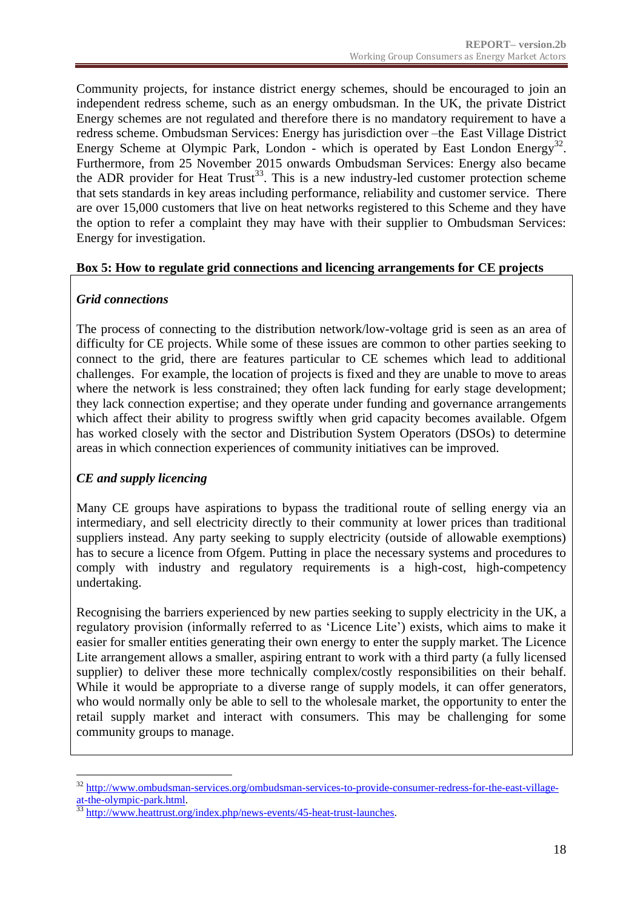Community projects, for instance district energy schemes, should be encouraged to join an independent redress scheme, such as an energy ombudsman. In the UK, the private District Energy schemes are not regulated and therefore there is no mandatory requirement to have a redress scheme. Ombudsman Services: Energy has jurisdiction over –the East Village District Energy Scheme at Olympic Park, London - which is operated by East London Energy<sup>32</sup>. Furthermore, from 25 November 2015 onwards Ombudsman Services: Energy also became the ADR provider for Heat Trust<sup>33</sup>. This is a new industry-led customer protection scheme that sets standards in key areas including performance, reliability and customer service. There are over 15,000 customers that live on heat networks registered to this Scheme and they have the option to refer a complaint they may have with their supplier to Ombudsman Services: Energy for investigation.

#### **Box 5: How to regulate grid connections and licencing arrangements for CE projects**

### *Grid connections*

The process of connecting to the distribution network/low-voltage grid is seen as an area of difficulty for CE projects. While some of these issues are common to other parties seeking to connect to the grid, there are features particular to CE schemes which lead to additional challenges. For example, the location of projects is fixed and they are unable to move to areas where the network is less constrained; they often lack funding for early stage development; they lack connection expertise; and they operate under funding and governance arrangements which affect their ability to progress swiftly when grid capacity becomes available. Ofgem has worked closely with the sector and Distribution System Operators (DSOs) to determine areas in which connection experiences of community initiatives can be improved.

### *CE and supply licencing*

Many CE groups have aspirations to bypass the traditional route of selling energy via an intermediary, and sell electricity directly to their community at lower prices than traditional suppliers instead. Any party seeking to supply electricity (outside of allowable exemptions) has to secure a licence from Ofgem. Putting in place the necessary systems and procedures to comply with industry and regulatory requirements is a high-cost, high-competency undertaking.

Recognising the barriers experienced by new parties seeking to supply electricity in the UK, a regulatory provision (informally referred to as 'Licence Lite') exists, which aims to make it easier for smaller entities generating their own energy to enter the supply market. The Licence Lite arrangement allows a smaller, aspiring entrant to work with a third party (a fully licensed supplier) to deliver these more technically complex/costly responsibilities on their behalf. While it would be appropriate to a diverse range of supply models, it can offer generators, who would normally only be able to sell to the wholesale market, the opportunity to enter the retail supply market and interact with consumers. This may be challenging for some community groups to manage.

<sup>&</sup>lt;u>.</u> <sup>32</sup> [http://www.ombudsman-services.org/ombudsman-services-to-provide-consumer-redress-for-the-east-village](http://www.ombudsman-services.org/ombudsman-services-to-provide-consumer-redress-for-the-east-village-at-the-olympic-park.html)[at-the-olympic-park.html.](http://www.ombudsman-services.org/ombudsman-services-to-provide-consumer-redress-for-the-east-village-at-the-olympic-park.html)

<sup>33</sup> [http://www.heattrust.org/index.php/news-events/45-heat-trust-launches.](http://www.heattrust.org/index.php/news-events/45-heat-trust-launches)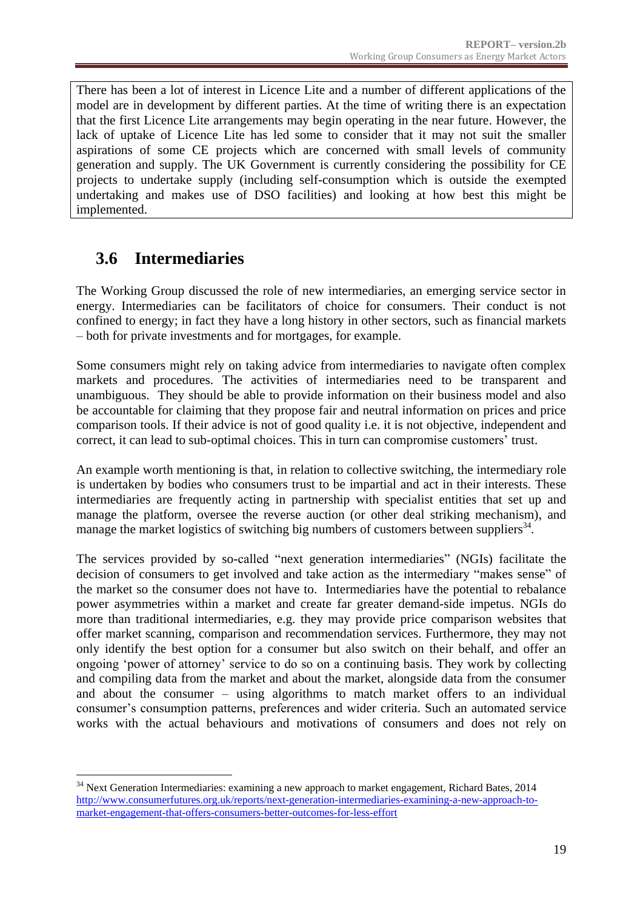There has been a lot of interest in Licence Lite and a number of different applications of the model are in development by different parties. At the time of writing there is an expectation that the first Licence Lite arrangements may begin operating in the near future. However, the lack of uptake of Licence Lite has led some to consider that it may not suit the smaller aspirations of some CE projects which are concerned with small levels of community generation and supply. The UK Government is currently considering the possibility for CE projects to undertake supply (including self-consumption which is outside the exempted undertaking and makes use of DSO facilities) and looking at how best this might be implemented.

## <span id="page-18-0"></span>**3.6 Intermediaries**

<u>.</u>

The Working Group discussed the role of new intermediaries, an emerging service sector in energy. Intermediaries can be facilitators of choice for consumers. Their conduct is not confined to energy; in fact they have a long history in other sectors, such as financial markets – both for private investments and for mortgages, for example.

Some consumers might rely on taking advice from intermediaries to navigate often complex markets and procedures. The activities of intermediaries need to be transparent and unambiguous. They should be able to provide information on their business model and also be accountable for claiming that they propose fair and neutral information on prices and price comparison tools. If their advice is not of good quality i.e. it is not objective, independent and correct, it can lead to sub-optimal choices. This in turn can compromise customers' trust.

An example worth mentioning is that, in relation to collective switching, the intermediary role is undertaken by bodies who consumers trust to be impartial and act in their interests. These intermediaries are frequently acting in partnership with specialist entities that set up and manage the platform, oversee the reverse auction (or other deal striking mechanism), and manage the market logistics of switching big numbers of customers between suppliers<sup>34</sup>.

The services provided by so-called "next generation intermediaries" (NGIs) facilitate the decision of consumers to get involved and take action as the intermediary "makes sense" of the market so the consumer does not have to. Intermediaries have the potential to rebalance power asymmetries within a market and create far greater demand-side impetus. NGIs do more than traditional intermediaries, e.g. they may provide price comparison websites that offer market scanning, comparison and recommendation services. Furthermore, they may not only identify the best option for a consumer but also switch on their behalf, and offer an ongoing 'power of attorney' service to do so on a continuing basis. They work by collecting and compiling data from the market and about the market, alongside data from the consumer and about the consumer – using algorithms to match market offers to an individual consumer's consumption patterns, preferences and wider criteria. Such an automated service works with the actual behaviours and motivations of consumers and does not rely on

<sup>&</sup>lt;sup>34</sup> Next Generation Intermediaries: examining a new approach to market engagement, Richard Bates, 2014 [http://www.consumerfutures.org.uk/reports/next-generation-intermediaries-examining-a-new-approach-to](http://www.consumerfutures.org.uk/reports/next-generation-intermediaries-examining-a-new-approach-to-market-engagement-that-offers-consumers-better-outcomes-for-less-effort)[market-engagement-that-offers-consumers-better-outcomes-for-less-effort](http://www.consumerfutures.org.uk/reports/next-generation-intermediaries-examining-a-new-approach-to-market-engagement-that-offers-consumers-better-outcomes-for-less-effort)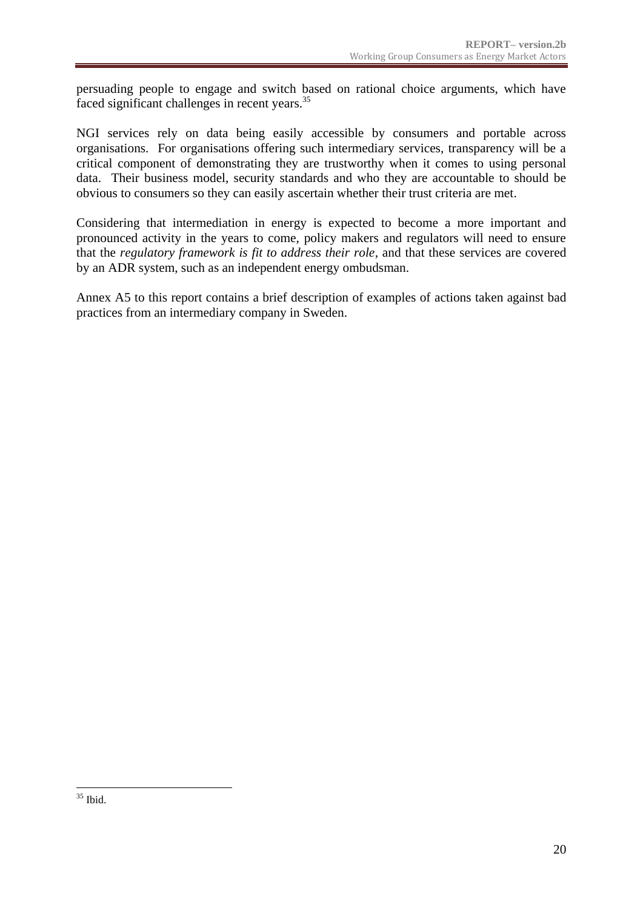persuading people to engage and switch based on rational choice arguments, which have faced significant challenges in recent years.<sup>35</sup>

NGI services rely on data being easily accessible by consumers and portable across organisations. For organisations offering such intermediary services, transparency will be a critical component of demonstrating they are trustworthy when it comes to using personal data. Their business model, security standards and who they are accountable to should be obvious to consumers so they can easily ascertain whether their trust criteria are met.

Considering that intermediation in energy is expected to become a more important and pronounced activity in the years to come, policy makers and regulators will need to ensure that the *regulatory framework is fit to address their role*, and that these services are covered by an ADR system, such as an independent energy ombudsman.

Annex A5 to this report contains a brief description of examples of actions taken against bad practices from an intermediary company in Sweden.

<sup>1</sup>  $35$  Ibid.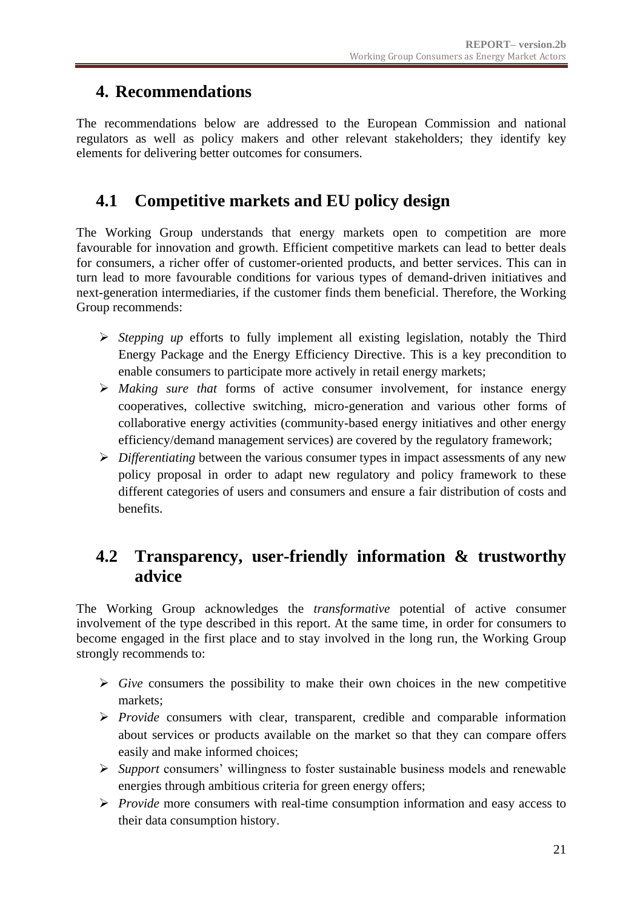### <span id="page-20-0"></span>**4. Recommendations**

The recommendations below are addressed to the European Commission and national regulators as well as policy makers and other relevant stakeholders; they identify key elements for delivering better outcomes for consumers.

## <span id="page-20-1"></span>**4.1 Competitive markets and EU policy design**

The Working Group understands that energy markets open to competition are more favourable for innovation and growth. Efficient competitive markets can lead to better deals for consumers, a richer offer of customer-oriented products, and better services. This can in turn lead to more favourable conditions for various types of demand-driven initiatives and next-generation intermediaries, if the customer finds them beneficial. Therefore, the Working Group recommends:

- *Stepping up* efforts to fully implement all existing legislation, notably the Third Energy Package and the Energy Efficiency Directive. This is a key precondition to enable consumers to participate more actively in retail energy markets;
- *Making sure that* forms of active consumer involvement, for instance energy cooperatives, collective switching, micro-generation and various other forms of collaborative energy activities (community-based energy initiatives and other energy efficiency/demand management services) are covered by the regulatory framework;
- *Differentiating* between the various consumer types in impact assessments of any new policy proposal in order to adapt new regulatory and policy framework to these different categories of users and consumers and ensure a fair distribution of costs and benefits.

### <span id="page-20-2"></span>**4.2 Transparency, user-friendly information & trustworthy advice**

The Working Group acknowledges the *transformative* potential of active consumer involvement of the type described in this report. At the same time, in order for consumers to become engaged in the first place and to stay involved in the long run, the Working Group strongly recommends to:

- $\triangleright$  *Give* consumers the possibility to make their own choices in the new competitive markets;
- *Provide* consumers with clear, transparent, credible and comparable information about services or products available on the market so that they can compare offers easily and make informed choices;
- *Support* consumers' willingness to foster sustainable business models and renewable energies through ambitious criteria for green energy offers;
- *Provide* more consumers with real-time consumption information and easy access to their data consumption history.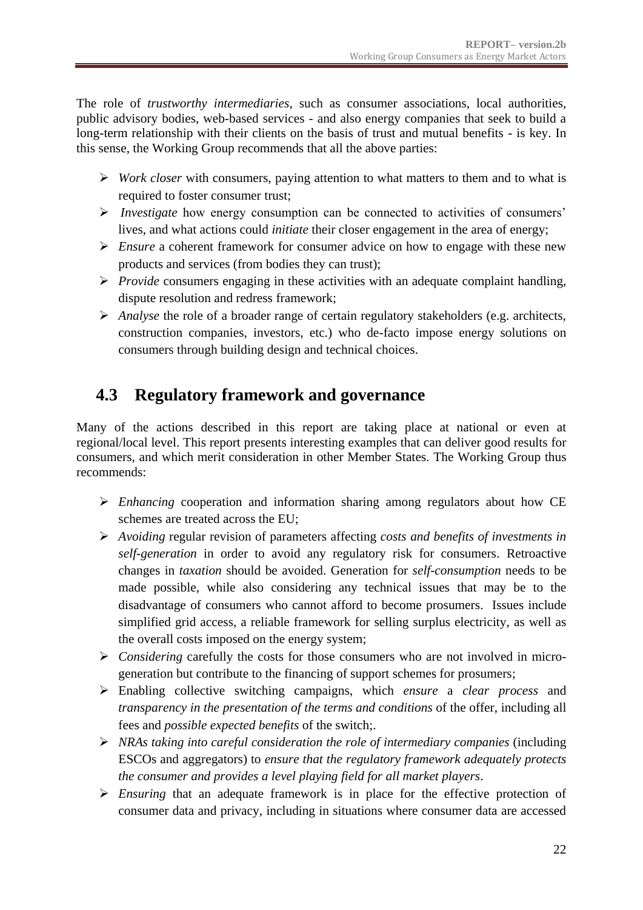The role of *trustworthy intermediaries*, such as consumer associations, local authorities, public advisory bodies, web-based services - and also energy companies that seek to build a long-term relationship with their clients on the basis of trust and mutual benefits - is key. In this sense, the Working Group recommends that all the above parties:

- *Work closer* with consumers, paying attention to what matters to them and to what is required to foster consumer trust;
- *Investigate* how energy consumption can be connected to activities of consumers' lives, and what actions could *initiate* their closer engagement in the area of energy;
- *Ensure* a coherent framework for consumer advice on how to engage with these new products and services (from bodies they can trust);
- *Provide* consumers engaging in these activities with an adequate complaint handling, dispute resolution and redress framework;
- *Analyse* the role of a broader range of certain regulatory stakeholders (e.g. architects, construction companies, investors, etc.) who de-facto impose energy solutions on consumers through building design and technical choices.

## <span id="page-21-0"></span>**4.3 Regulatory framework and governance**

Many of the actions described in this report are taking place at national or even at regional/local level. This report presents interesting examples that can deliver good results for consumers, and which merit consideration in other Member States. The Working Group thus recommends:

- *Enhancing* cooperation and information sharing among regulators about how CE schemes are treated across the EU;
- *Avoiding* regular revision of parameters affecting *costs and benefits of investments in self-generation* in order to avoid any regulatory risk for consumers. Retroactive changes in *taxation* should be avoided. Generation for *self-consumption* needs to be made possible, while also considering any technical issues that may be to the disadvantage of consumers who cannot afford to become prosumers. Issues include simplified grid access, a reliable framework for selling surplus electricity, as well as the overall costs imposed on the energy system;
- *Considering* carefully the costs for those consumers who are not involved in microgeneration but contribute to the financing of support schemes for prosumers;
- Enabling collective switching campaigns, which *ensure* a *clear process* and *transparency in the presentation of the terms and conditions* of the offer, including all fees and *possible expected benefits* of the switch;.
- *NRAs taking into careful consideration the role of intermediary companies* (including ESCOs and aggregators) to *ensure that the regulatory framework adequately protects the consumer and provides a level playing field for all market players*.
- *Ensuring* that an adequate framework is in place for the effective protection of consumer data and privacy, including in situations where consumer data are accessed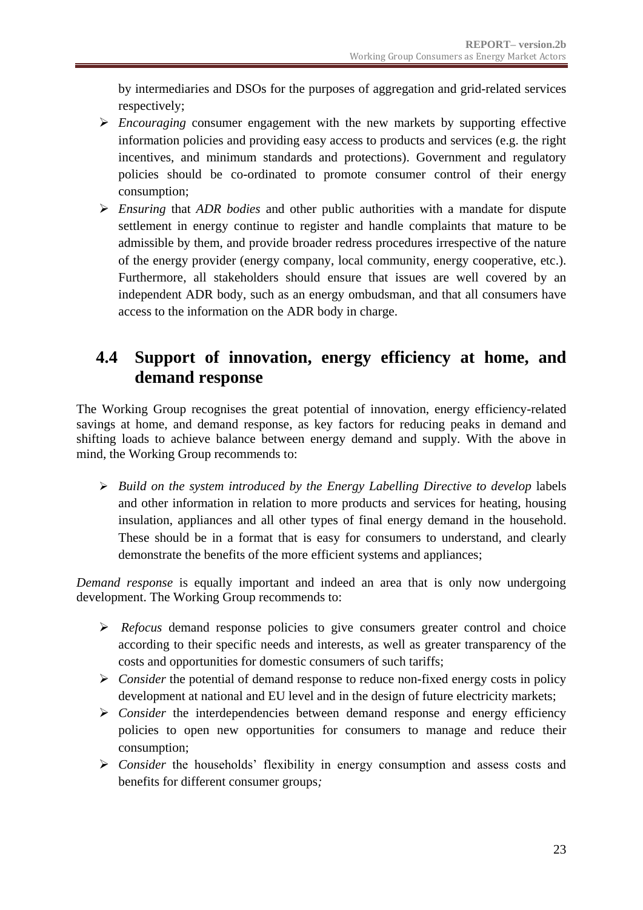by intermediaries and DSOs for the purposes of aggregation and grid-related services respectively;

- *Encouraging* consumer engagement with the new markets by supporting effective information policies and providing easy access to products and services (e.g. the right incentives, and minimum standards and protections). Government and regulatory policies should be co-ordinated to promote consumer control of their energy consumption;
- *Ensuring* that *ADR bodies* and other public authorities with a mandate for dispute settlement in energy continue to register and handle complaints that mature to be admissible by them, and provide broader redress procedures irrespective of the nature of the energy provider (energy company, local community, energy cooperative, etc.). Furthermore, all stakeholders should ensure that issues are well covered by an independent ADR body, such as an energy ombudsman, and that all consumers have access to the information on the ADR body in charge.

### <span id="page-22-0"></span>**4.4 Support of innovation, energy efficiency at home, and demand response**

The Working Group recognises the great potential of innovation, energy efficiency-related savings at home, and demand response, as key factors for reducing peaks in demand and shifting loads to achieve balance between energy demand and supply. With the above in mind, the Working Group recommends to:

**Build on the system introduced by the Energy Labelling Directive to develop labels** and other information in relation to more products and services for heating, housing insulation, appliances and all other types of final energy demand in the household. These should be in a format that is easy for consumers to understand, and clearly demonstrate the benefits of the more efficient systems and appliances;

*Demand response* is equally important and indeed an area that is only now undergoing development. The Working Group recommends to:

- *Refocus* demand response policies to give consumers greater control and choice according to their specific needs and interests, as well as greater transparency of the costs and opportunities for domestic consumers of such tariffs;
- *Consider* the potential of demand response to reduce non-fixed energy costs in policy development at national and EU level and in the design of future electricity markets;
- $\triangleright$  *Consider* the interdependencies between demand response and energy efficiency policies to open new opportunities for consumers to manage and reduce their consumption;
- *Consider* the households' flexibility in energy consumption and assess costs and benefits for different consumer groups*;*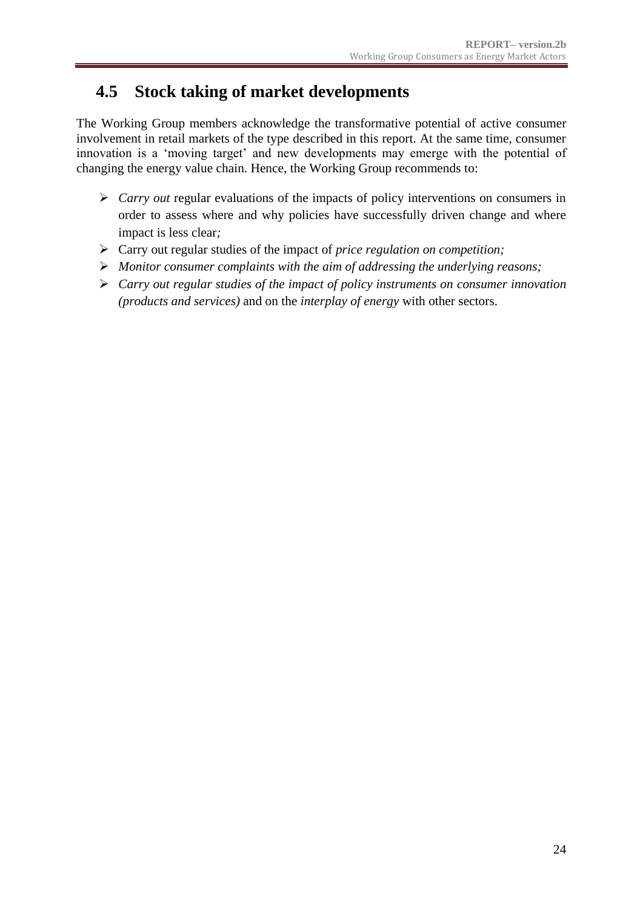### <span id="page-23-0"></span>**4.5 Stock taking of market developments**

The Working Group members acknowledge the transformative potential of active consumer involvement in retail markets of the type described in this report. At the same time, consumer innovation is a 'moving target' and new developments may emerge with the potential of changing the energy value chain. Hence, the Working Group recommends to:

- *Carry out* regular evaluations of the impacts of policy interventions on consumers in order to assess where and why policies have successfully driven change and where impact is less clear*;*
- Carry out regular studies of the impact of *price regulation on competition;*
- *Monitor consumer complaints with the aim of addressing the underlying reasons;*
- *Carry out regular studies of the impact of policy instruments on consumer innovation (products and services)* and on the *interplay of energy* with other sectors.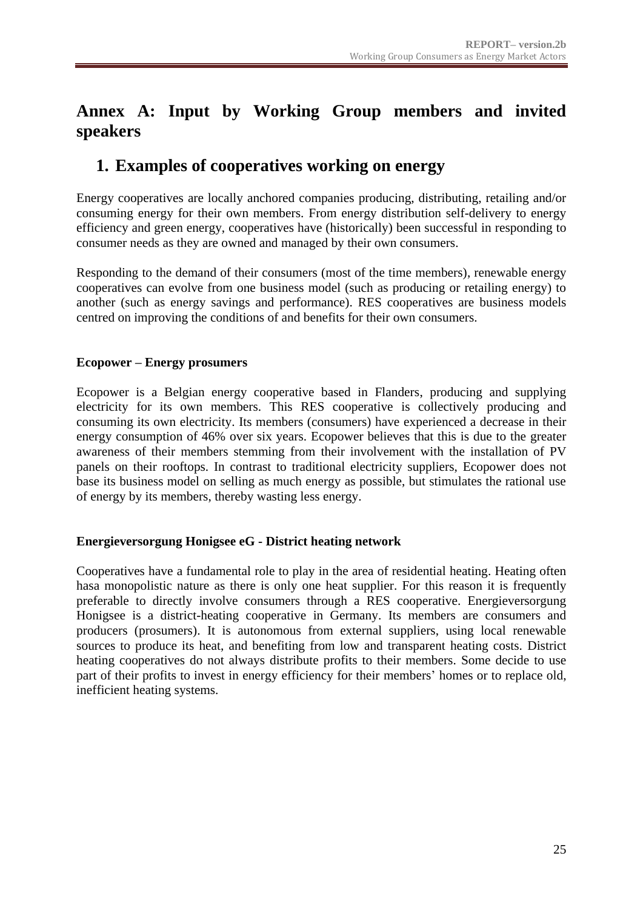## <span id="page-24-0"></span>**Annex A: Input by Working Group members and invited speakers**

### <span id="page-24-1"></span>**1. Examples of cooperatives working on energy**

Energy cooperatives are locally anchored companies producing, distributing, retailing and/or consuming energy for their own members. From energy distribution self-delivery to energy efficiency and green energy, cooperatives have (historically) been successful in responding to consumer needs as they are owned and managed by their own consumers.

Responding to the demand of their consumers (most of the time members), renewable energy cooperatives can evolve from one business model (such as producing or retailing energy) to another (such as energy savings and performance). RES cooperatives are business models centred on improving the conditions of and benefits for their own consumers.

#### **Ecopower – Energy prosumers**

Ecopower is a Belgian energy cooperative based in Flanders, producing and supplying electricity for its own members. This RES cooperative is collectively producing and consuming its own electricity. Its members (consumers) have experienced a decrease in their energy consumption of 46% over six years. Ecopower believes that this is due to the greater awareness of their members stemming from their involvement with the installation of PV panels on their rooftops. In contrast to traditional electricity suppliers, Ecopower does not base its business model on selling as much energy as possible, but stimulates the rational use of energy by its members, thereby wasting less energy.

#### **Energieversorgung Honigsee eG - District heating network**

Cooperatives have a fundamental role to play in the area of residential heating. Heating often hasa monopolistic nature as there is only one heat supplier. For this reason it is frequently preferable to directly involve consumers through a RES cooperative. Energieversorgung Honigsee is a district-heating cooperative in Germany. Its members are consumers and producers (prosumers). It is autonomous from external suppliers, using local renewable sources to produce its heat, and benefiting from low and transparent heating costs. District heating cooperatives do not always distribute profits to their members. Some decide to use part of their profits to invest in energy efficiency for their members' homes or to replace old, inefficient heating systems.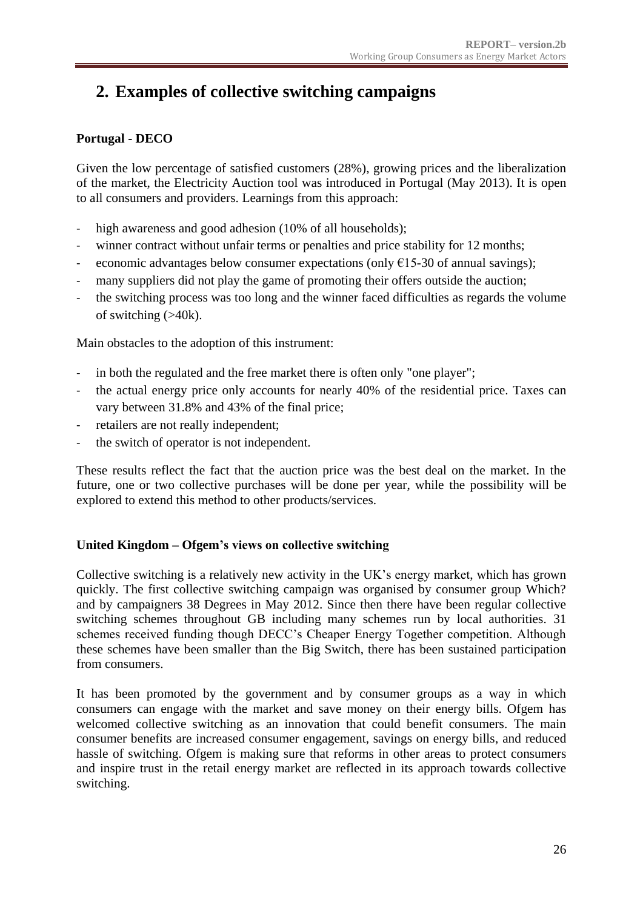## <span id="page-25-0"></span>**2. Examples of collective switching campaigns**

### **Portugal - DECO**

Given the low percentage of satisfied customers (28%), growing prices and the liberalization of the market, the Electricity Auction tool was introduced in Portugal (May 2013). It is open to all consumers and providers. Learnings from this approach:

- high awareness and good adhesion (10% of all households);
- winner contract without unfair terms or penalties and price stability for 12 months;
- economic advantages below consumer expectations (only  $E15-30$  of annual savings);
- many suppliers did not play the game of promoting their offers outside the auction;
- the switching process was too long and the winner faced difficulties as regards the volume of switching (>40k).

Main obstacles to the adoption of this instrument:

- in both the regulated and the free market there is often only "one player";
- the actual energy price only accounts for nearly 40% of the residential price. Taxes can vary between 31.8% and 43% of the final price;
- retailers are not really independent;
- the switch of operator is not independent.

These results reflect the fact that the auction price was the best deal on the market. In the future, one or two collective purchases will be done per year, while the possibility will be explored to extend this method to other products/services.

#### **United Kingdom – Ofgem's views on collective switching**

Collective switching is a relatively new activity in the UK's energy market, which has grown quickly. The first collective switching campaign was organised by consumer group Which? and by campaigners 38 Degrees in May 2012. Since then there have been regular collective switching schemes throughout GB including many schemes run by local authorities. 31 schemes received funding though DECC's Cheaper Energy Together competition. Although these schemes have been smaller than the Big Switch, there has been sustained participation from consumers.

It has been promoted by the government and by consumer groups as a way in which consumers can engage with the market and save money on their energy bills. Ofgem has welcomed collective switching as an innovation that could benefit consumers. The main consumer benefits are increased consumer engagement, savings on energy bills, and reduced hassle of switching. Ofgem is making sure that reforms in other areas to protect consumers and inspire trust in the retail energy market are reflected in its approach towards collective switching.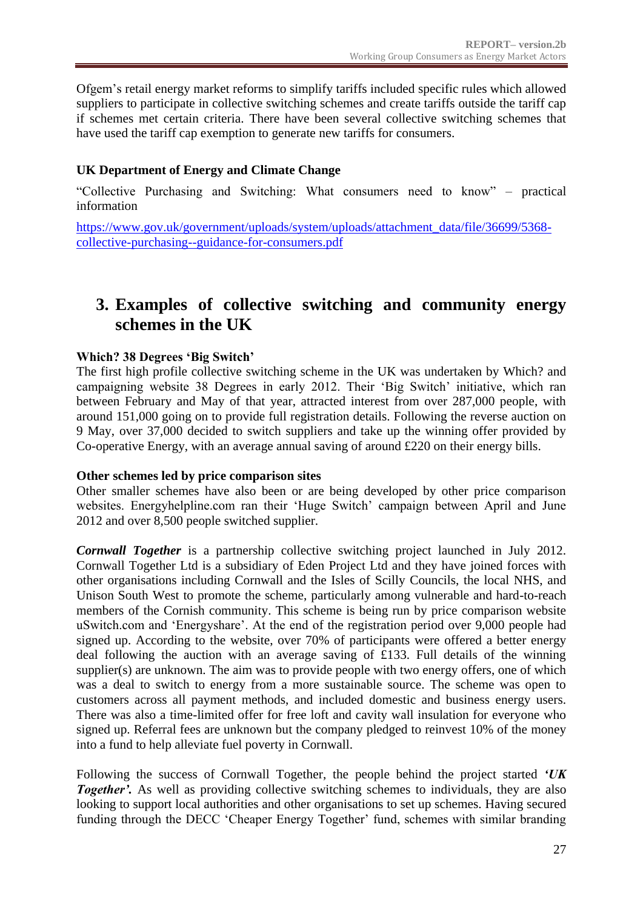Ofgem's retail energy market reforms to simplify tariffs included specific rules which allowed suppliers to participate in collective switching schemes and create tariffs outside the tariff cap if schemes met certain criteria. There have been several collective switching schemes that have used the tariff cap exemption to generate new tariffs for consumers.

### **UK Department of Energy and Climate Change**

"Collective Purchasing and Switching: What consumers need to know" – practical information

[https://www.gov.uk/government/uploads/system/uploads/attachment\\_data/file/36699/5368](https://www.gov.uk/government/uploads/system/uploads/attachment_data/file/36699/5368-collective-purchasing--guidance-for-consumers.pdf) [collective-purchasing--guidance-for-consumers.pdf](https://www.gov.uk/government/uploads/system/uploads/attachment_data/file/36699/5368-collective-purchasing--guidance-for-consumers.pdf)

### <span id="page-26-0"></span>**3. Examples of collective switching and community energy schemes in the UK**

### **Which? 38 Degrees 'Big Switch'**

The first high profile collective switching scheme in the UK was undertaken by Which? and campaigning website 38 Degrees in early 2012. Their 'Big Switch' initiative, which ran between February and May of that year, attracted interest from over 287,000 people, with around 151,000 going on to provide full registration details. Following the reverse auction on 9 May, over 37,000 decided to switch suppliers and take up the winning offer provided by Co-operative Energy, with an average annual saving of around £220 on their energy bills.

#### **Other schemes led by price comparison sites**

Other smaller schemes have also been or are being developed by other price comparison websites. Energyhelpline.com ran their 'Huge Switch' campaign between April and June 2012 and over 8,500 people switched supplier.

*Cornwall Together* is a partnership collective switching project launched in July 2012. Cornwall Together Ltd is a subsidiary of Eden Project Ltd and they have joined forces with other organisations including Cornwall and the Isles of Scilly Councils, the local NHS, and Unison South West to promote the scheme, particularly among vulnerable and hard-to-reach members of the Cornish community. This scheme is being run by price comparison website uSwitch.com and 'Energyshare'. At the end of the registration period over 9,000 people had signed up. According to the website, over 70% of participants were offered a better energy deal following the auction with an average saving of £133. Full details of the winning supplier(s) are unknown. The aim was to provide people with two energy offers, one of which was a deal to switch to energy from a more sustainable source. The scheme was open to customers across all payment methods, and included domestic and business energy users. There was also a time-limited offer for free loft and cavity wall insulation for everyone who signed up. Referral fees are unknown but the company pledged to reinvest 10% of the money into a fund to help alleviate fuel poverty in Cornwall.

Following the success of Cornwall Together, the people behind the project started *'UK*  **Together'.** As well as providing collective switching schemes to individuals, they are also looking to support local authorities and other organisations to set up schemes. Having secured funding through the DECC 'Cheaper Energy Together' fund, schemes with similar branding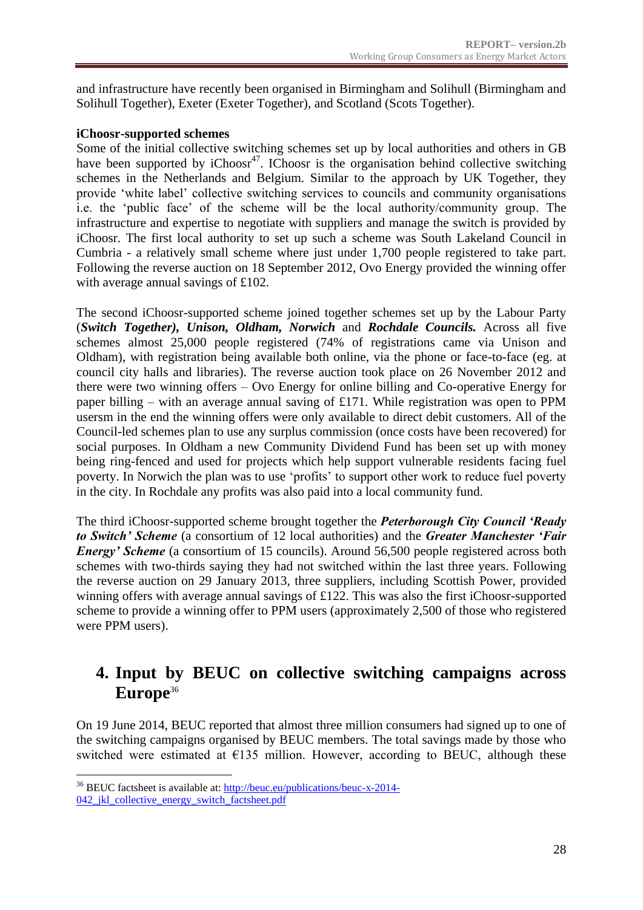and infrastructure have recently been organised in Birmingham and Solihull (Birmingham and Solihull Together), Exeter (Exeter Together), and Scotland (Scots Together).

#### **iChoosr-supported schemes**

Some of the initial collective switching schemes set up by local authorities and others in GB have been supported by  $iChoosr<sup>47</sup>$ . IChoosr is the organisation behind collective switching schemes in the Netherlands and Belgium. Similar to the approach by UK Together, they provide 'white label' collective switching services to councils and community organisations i.e. the 'public face' of the scheme will be the local authority/community group. The infrastructure and expertise to negotiate with suppliers and manage the switch is provided by iChoosr. The first local authority to set up such a scheme was South Lakeland Council in Cumbria - a relatively small scheme where just under 1,700 people registered to take part. Following the reverse auction on 18 September 2012, Ovo Energy provided the winning offer with average annual savings of £102.

The second iChoosr-supported scheme joined together schemes set up by the Labour Party (*Switch Together), Unison, Oldham, Norwich* and *Rochdale Councils.* Across all five schemes almost 25,000 people registered (74% of registrations came via Unison and Oldham), with registration being available both online, via the phone or face-to-face (eg. at council city halls and libraries). The reverse auction took place on 26 November 2012 and there were two winning offers – Ovo Energy for online billing and Co-operative Energy for paper billing – with an average annual saving of £171. While registration was open to PPM usersm in the end the winning offers were only available to direct debit customers. All of the Council-led schemes plan to use any surplus commission (once costs have been recovered) for social purposes. In Oldham a new Community Dividend Fund has been set up with money being ring-fenced and used for projects which help support vulnerable residents facing fuel poverty. In Norwich the plan was to use 'profits' to support other work to reduce fuel poverty in the city. In Rochdale any profits was also paid into a local community fund.

The third iChoosr-supported scheme brought together the *Peterborough City Council 'Ready to Switch' Scheme* (a consortium of 12 local authorities) and the *Greater Manchester 'Fair Energy' Scheme* (a consortium of 15 councils). Around 56,500 people registered across both schemes with two-thirds saying they had not switched within the last three years. Following the reverse auction on 29 January 2013, three suppliers, including Scottish Power, provided winning offers with average annual savings of £122. This was also the first iChoosr-supported scheme to provide a winning offer to PPM users (approximately 2,500 of those who registered were PPM users).

### <span id="page-27-0"></span>**4. Input by BEUC on collective switching campaigns across Europe**<sup>36</sup>

On 19 June 2014, BEUC reported that almost three million consumers had signed up to one of the switching campaigns organised by BEUC members. The total savings made by those who switched were estimated at  $E$ 135 million. However, according to BEUC, although these

<sup>&</sup>lt;u>.</u> <sup>36</sup> BEUC factsheet is available at: [http://beuc.eu/publications/beuc-x-2014-](http://beuc.eu/publications/beuc-x-2014-042_jkl_collective_energy_switch_factsheet.pdf) 042 jkl collective energy switch factsheet.pdf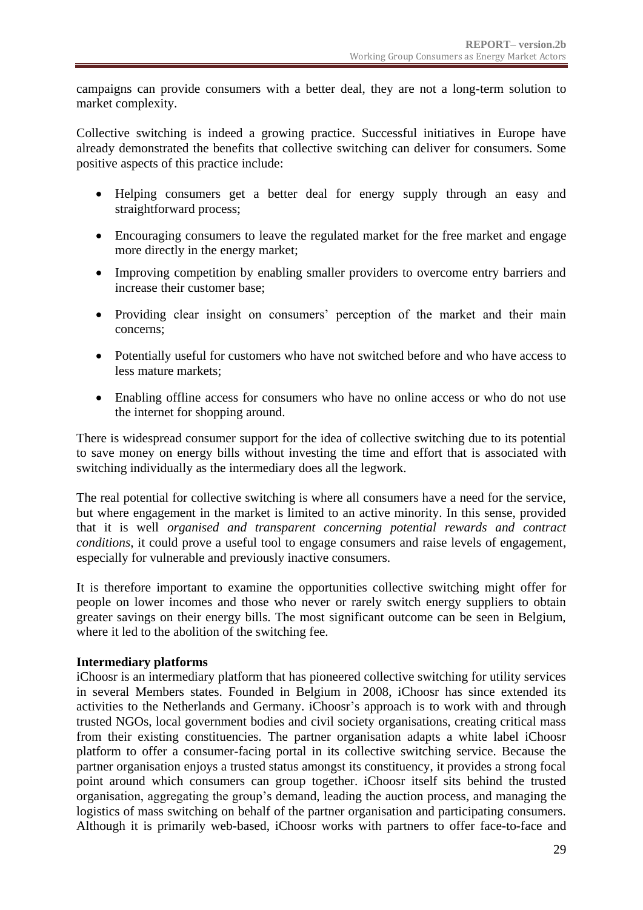campaigns can provide consumers with a better deal, they are not a long-term solution to market complexity.

Collective switching is indeed a growing practice. Successful initiatives in Europe have already demonstrated the benefits that collective switching can deliver for consumers. Some positive aspects of this practice include:

- Helping consumers get a better deal for energy supply through an easy and straightforward process;
- Encouraging consumers to leave the regulated market for the free market and engage more directly in the energy market;
- Improving competition by enabling smaller providers to overcome entry barriers and increase their customer base;
- Providing clear insight on consumers' perception of the market and their main concerns;
- Potentially useful for customers who have not switched before and who have access to less mature markets;
- Enabling offline access for consumers who have no online access or who do not use the internet for shopping around.

There is widespread consumer support for the idea of collective switching due to its potential to save money on energy bills without investing the time and effort that is associated with switching individually as the intermediary does all the legwork.

The real potential for collective switching is where all consumers have a need for the service, but where engagement in the market is limited to an active minority. In this sense, provided that it is well *organised and transparent concerning potential rewards and contract conditions*, it could prove a useful tool to engage consumers and raise levels of engagement, especially for vulnerable and previously inactive consumers.

It is therefore important to examine the opportunities collective switching might offer for people on lower incomes and those who never or rarely switch energy suppliers to obtain greater savings on their energy bills. The most significant outcome can be seen in Belgium, where it led to the abolition of the switching fee.

#### **Intermediary platforms**

iChoosr is an intermediary platform that has pioneered collective switching for utility services in several Members states. Founded in Belgium in 2008, iChoosr has since extended its activities to the Netherlands and Germany. iChoosr's approach is to work with and through trusted NGOs, local government bodies and civil society organisations, creating critical mass from their existing constituencies. The partner organisation adapts a white label iChoosr platform to offer a consumer-facing portal in its collective switching service. Because the partner organisation enjoys a trusted status amongst its constituency, it provides a strong focal point around which consumers can group together. iChoosr itself sits behind the trusted organisation, aggregating the group's demand, leading the auction process, and managing the logistics of mass switching on behalf of the partner organisation and participating consumers. Although it is primarily web-based, iChoosr works with partners to offer face-to-face and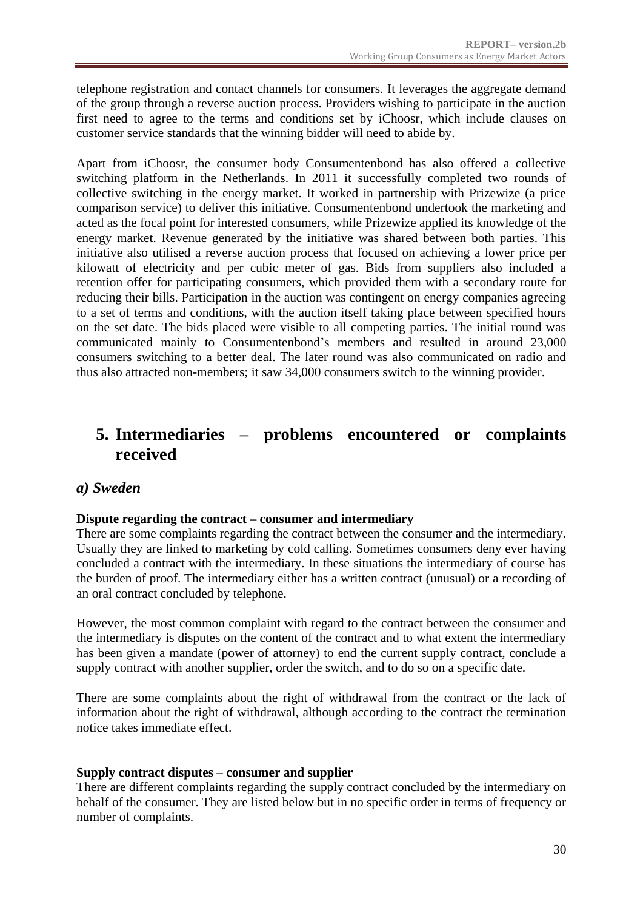telephone registration and contact channels for consumers. It leverages the aggregate demand of the group through a reverse auction process. Providers wishing to participate in the auction first need to agree to the terms and conditions set by iChoosr, which include clauses on customer service standards that the winning bidder will need to abide by.

Apart from iChoosr, the consumer body Consumentenbond has also offered a collective switching platform in the Netherlands. In 2011 it successfully completed two rounds of collective switching in the energy market. It worked in partnership with Prizewize (a price comparison service) to deliver this initiative. Consumentenbond undertook the marketing and acted as the focal point for interested consumers, while Prizewize applied its knowledge of the energy market. Revenue generated by the initiative was shared between both parties. This initiative also utilised a reverse auction process that focused on achieving a lower price per kilowatt of electricity and per cubic meter of gas. Bids from suppliers also included a retention offer for participating consumers, which provided them with a secondary route for reducing their bills. Participation in the auction was contingent on energy companies agreeing to a set of terms and conditions, with the auction itself taking place between specified hours on the set date. The bids placed were visible to all competing parties. The initial round was communicated mainly to Consumentenbond's members and resulted in around 23,000 consumers switching to a better deal. The later round was also communicated on radio and thus also attracted non-members; it saw 34,000 consumers switch to the winning provider.

### <span id="page-29-0"></span>**5. Intermediaries – problems encountered or complaints received**

### *a) Sweden*

#### **Dispute regarding the contract – consumer and intermediary**

There are some complaints regarding the contract between the consumer and the intermediary. Usually they are linked to marketing by cold calling. Sometimes consumers deny ever having concluded a contract with the intermediary. In these situations the intermediary of course has the burden of proof. The intermediary either has a written contract (unusual) or a recording of an oral contract concluded by telephone.

However, the most common complaint with regard to the contract between the consumer and the intermediary is disputes on the content of the contract and to what extent the intermediary has been given a mandate (power of attorney) to end the current supply contract, conclude a supply contract with another supplier, order the switch, and to do so on a specific date.

There are some complaints about the right of withdrawal from the contract or the lack of information about the right of withdrawal, although according to the contract the termination notice takes immediate effect.

#### **Supply contract disputes – consumer and supplier**

There are different complaints regarding the supply contract concluded by the intermediary on behalf of the consumer. They are listed below but in no specific order in terms of frequency or number of complaints.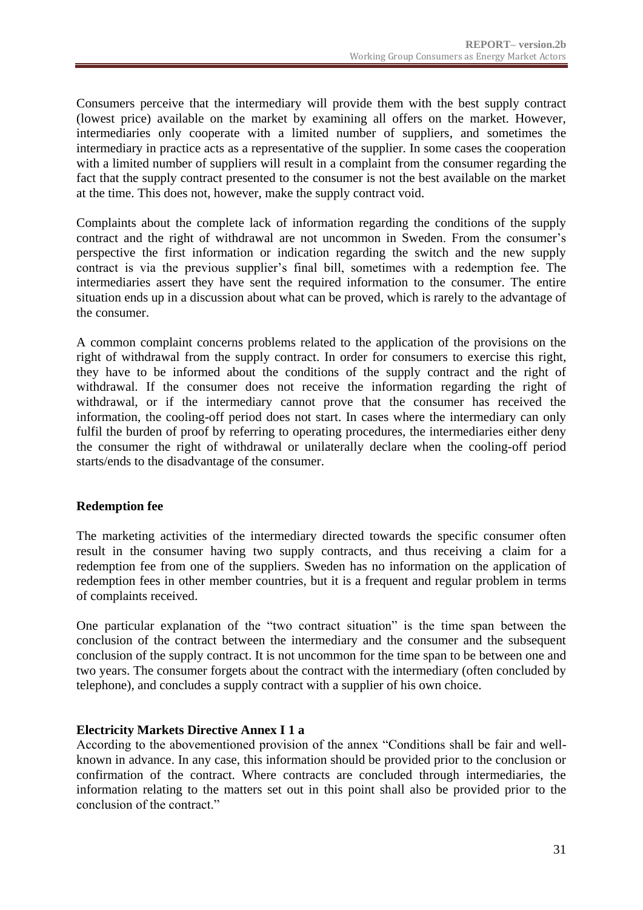Consumers perceive that the intermediary will provide them with the best supply contract (lowest price) available on the market by examining all offers on the market. However, intermediaries only cooperate with a limited number of suppliers, and sometimes the intermediary in practice acts as a representative of the supplier. In some cases the cooperation with a limited number of suppliers will result in a complaint from the consumer regarding the fact that the supply contract presented to the consumer is not the best available on the market at the time. This does not, however, make the supply contract void.

Complaints about the complete lack of information regarding the conditions of the supply contract and the right of withdrawal are not uncommon in Sweden. From the consumer's perspective the first information or indication regarding the switch and the new supply contract is via the previous supplier's final bill, sometimes with a redemption fee. The intermediaries assert they have sent the required information to the consumer. The entire situation ends up in a discussion about what can be proved, which is rarely to the advantage of the consumer.

A common complaint concerns problems related to the application of the provisions on the right of withdrawal from the supply contract. In order for consumers to exercise this right, they have to be informed about the conditions of the supply contract and the right of withdrawal. If the consumer does not receive the information regarding the right of withdrawal, or if the intermediary cannot prove that the consumer has received the information, the cooling-off period does not start. In cases where the intermediary can only fulfil the burden of proof by referring to operating procedures, the intermediaries either deny the consumer the right of withdrawal or unilaterally declare when the cooling-off period starts/ends to the disadvantage of the consumer.

#### **Redemption fee**

The marketing activities of the intermediary directed towards the specific consumer often result in the consumer having two supply contracts, and thus receiving a claim for a redemption fee from one of the suppliers. Sweden has no information on the application of redemption fees in other member countries, but it is a frequent and regular problem in terms of complaints received.

One particular explanation of the "two contract situation" is the time span between the conclusion of the contract between the intermediary and the consumer and the subsequent conclusion of the supply contract. It is not uncommon for the time span to be between one and two years. The consumer forgets about the contract with the intermediary (often concluded by telephone), and concludes a supply contract with a supplier of his own choice.

#### **Electricity Markets Directive Annex I 1 a**

According to the abovementioned provision of the annex "Conditions shall be fair and wellknown in advance. In any case, this information should be provided prior to the conclusion or confirmation of the contract. Where contracts are concluded through intermediaries, the information relating to the matters set out in this point shall also be provided prior to the conclusion of the contract."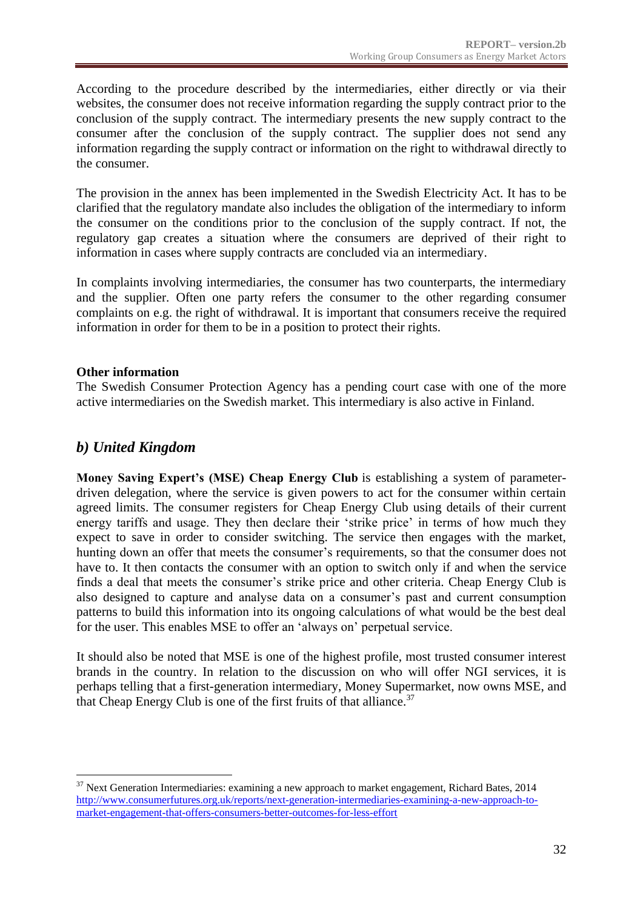According to the procedure described by the intermediaries, either directly or via their websites, the consumer does not receive information regarding the supply contract prior to the conclusion of the supply contract. The intermediary presents the new supply contract to the consumer after the conclusion of the supply contract. The supplier does not send any information regarding the supply contract or information on the right to withdrawal directly to the consumer.

The provision in the annex has been implemented in the Swedish Electricity Act. It has to be clarified that the regulatory mandate also includes the obligation of the intermediary to inform the consumer on the conditions prior to the conclusion of the supply contract. If not, the regulatory gap creates a situation where the consumers are deprived of their right to information in cases where supply contracts are concluded via an intermediary.

In complaints involving intermediaries, the consumer has two counterparts, the intermediary and the supplier. Often one party refers the consumer to the other regarding consumer complaints on e.g. the right of withdrawal. It is important that consumers receive the required information in order for them to be in a position to protect their rights.

#### **Other information**

The Swedish Consumer Protection Agency has a pending court case with one of the more active intermediaries on the Swedish market. This intermediary is also active in Finland.

### *b) United Kingdom*

<u>.</u>

**Money Saving Expert's (MSE) Cheap Energy Club** is establishing a system of parameterdriven delegation, where the service is given powers to act for the consumer within certain agreed limits. The consumer registers for Cheap Energy Club using details of their current energy tariffs and usage. They then declare their 'strike price' in terms of how much they expect to save in order to consider switching. The service then engages with the market, hunting down an offer that meets the consumer's requirements, so that the consumer does not have to. It then contacts the consumer with an option to switch only if and when the service finds a deal that meets the consumer's strike price and other criteria. Cheap Energy Club is also designed to capture and analyse data on a consumer's past and current consumption patterns to build this information into its ongoing calculations of what would be the best deal for the user. This enables MSE to offer an 'always on' perpetual service.

It should also be noted that MSE is one of the highest profile, most trusted consumer interest brands in the country. In relation to the discussion on who will offer NGI services, it is perhaps telling that a first-generation intermediary, Money Supermarket, now owns MSE, and that Cheap Energy Club is one of the first fruits of that alliance.<sup>37</sup>

<sup>&</sup>lt;sup>37</sup> Next Generation Intermediaries: examining a new approach to market engagement, Richard Bates, 2014 [http://www.consumerfutures.org.uk/reports/next-generation-intermediaries-examining-a-new-approach-to](http://www.consumerfutures.org.uk/reports/next-generation-intermediaries-examining-a-new-approach-to-market-engagement-that-offers-consumers-better-outcomes-for-less-effort)[market-engagement-that-offers-consumers-better-outcomes-for-less-effort](http://www.consumerfutures.org.uk/reports/next-generation-intermediaries-examining-a-new-approach-to-market-engagement-that-offers-consumers-better-outcomes-for-less-effort)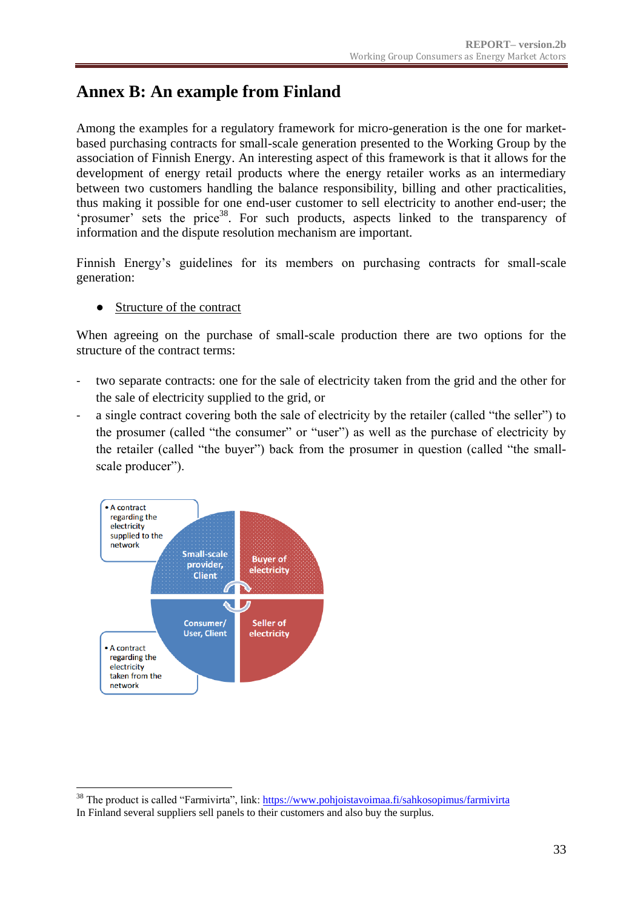### <span id="page-32-0"></span>**Annex B: An example from Finland**

Among the examples for a regulatory framework for micro-generation is the one for marketbased purchasing contracts for small-scale generation presented to the Working Group by the association of Finnish Energy. An interesting aspect of this framework is that it allows for the development of energy retail products where the energy retailer works as an intermediary between two customers handling the balance responsibility, billing and other practicalities, thus making it possible for one end-user customer to sell electricity to another end-user; the 'prosumer' sets the price<sup>38</sup>. For such products, aspects linked to the transparency of information and the dispute resolution mechanism are important.

Finnish Energy's guidelines for its members on purchasing contracts for small-scale generation:

● Structure of the contract

When agreeing on the purchase of small-scale production there are two options for the structure of the contract terms:

- two separate contracts: one for the sale of electricity taken from the grid and the other for the sale of electricity supplied to the grid, or
- a single contract covering both the sale of electricity by the retailer (called "the seller") to the prosumer (called "the consumer" or "user") as well as the purchase of electricity by the retailer (called "the buyer") back from the prosumer in question (called "the smallscale producer").



1

<sup>&</sup>lt;sup>38</sup> The product is called "Farmivirta", link: https://www.pohjoistavoimaa.fi/sahkosopimus/farmivirta

In Finland several suppliers sell panels to their customers and also buy the surplus.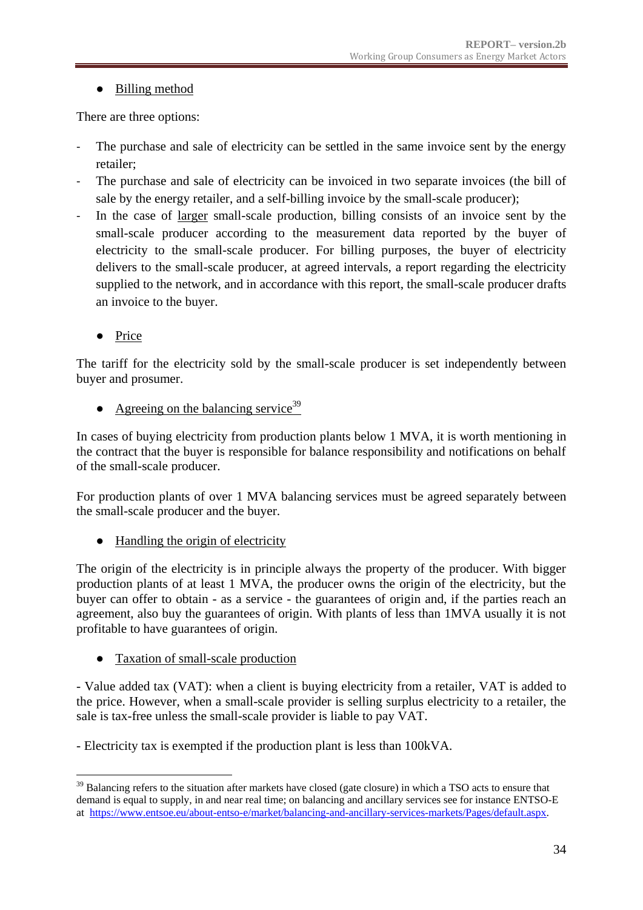### ● Billing method

There are three options:

- The purchase and sale of electricity can be settled in the same invoice sent by the energy retailer;
- The purchase and sale of electricity can be invoiced in two separate invoices (the bill of sale by the energy retailer, and a self-billing invoice by the small-scale producer);
- In the case of larger small-scale production, billing consists of an invoice sent by the small-scale producer according to the measurement data reported by the buyer of electricity to the small-scale producer. For billing purposes, the buyer of electricity delivers to the small-scale producer, at agreed intervals, a report regarding the electricity supplied to the network, and in accordance with this report, the small-scale producer drafts an invoice to the buyer.
	- Price

The tariff for the electricity sold by the small-scale producer is set independently between buyer and prosumer.

• Agreeing on the balancing service<sup>39</sup>

In cases of buying electricity from production plants below 1 MVA, it is worth mentioning in the contract that the buyer is responsible for balance responsibility and notifications on behalf of the small-scale producer.

For production plants of over 1 MVA balancing services must be agreed separately between the small-scale producer and the buyer.

• Handling the origin of electricity

The origin of the electricity is in principle always the property of the producer. With bigger production plants of at least 1 MVA, the producer owns the origin of the electricity, but the buyer can offer to obtain - as a service - the guarantees of origin and, if the parties reach an agreement, also buy the guarantees of origin. With plants of less than 1MVA usually it is not profitable to have guarantees of origin.

Taxation of small-scale production

- Value added tax (VAT): when a client is buying electricity from a retailer, VAT is added to the price. However, when a small-scale provider is selling surplus electricity to a retailer, the sale is tax-free unless the small-scale provider is liable to pay VAT.

- Electricity tax is exempted if the production plant is less than 100kVA.

<sup>&</sup>lt;u>.</u> <sup>39</sup> Balancing refers to the situation after markets have closed (gate closure) in which a TSO acts to ensure that demand is equal to supply, in and near real time; on balancing and ancillary services see for instance ENTSO-E at [https://www.entsoe.eu/about-entso-e/market/balancing-and-ancillary-services-markets/Pages/default.aspx.](https://www.entsoe.eu/about-entso-e/market/balancing-and-ancillary-services-markets/Pages/default.aspx)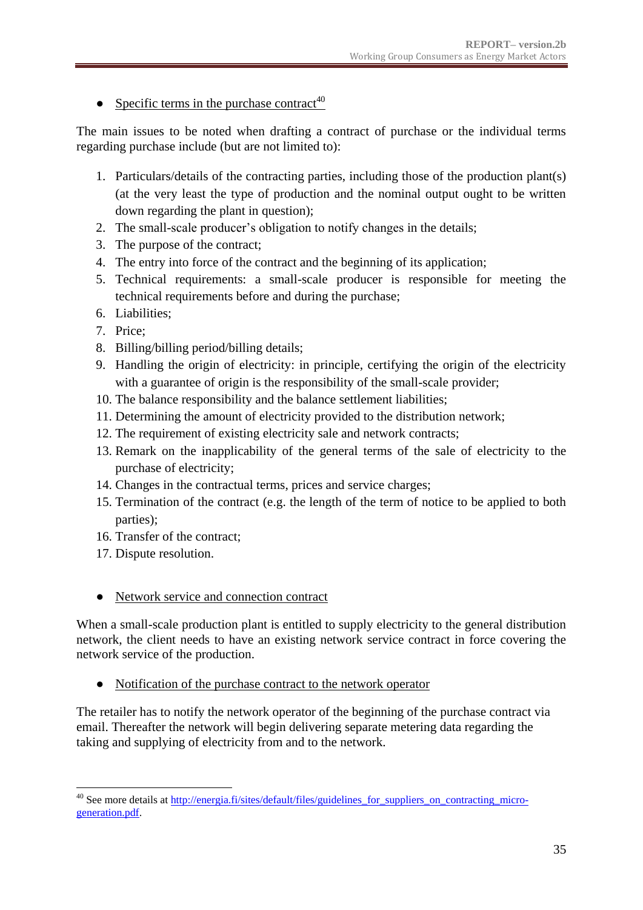• Specific terms in the purchase contract<sup>40</sup>

The main issues to be noted when drafting a contract of purchase or the individual terms regarding purchase include (but are not limited to):

- 1. Particulars/details of the contracting parties, including those of the production plant(s) (at the very least the type of production and the nominal output ought to be written down regarding the plant in question);
- 2. The small-scale producer's obligation to notify changes in the details;
- 3. The purpose of the contract;
- 4. The entry into force of the contract and the beginning of its application;
- 5. Technical requirements: a small-scale producer is responsible for meeting the technical requirements before and during the purchase;
- 6. Liabilities;
- 7. Price;
- 8. Billing/billing period/billing details;
- 9. Handling the origin of electricity: in principle, certifying the origin of the electricity with a guarantee of origin is the responsibility of the small-scale provider;
- 10. The balance responsibility and the balance settlement liabilities;
- 11. Determining the amount of electricity provided to the distribution network;
- 12. The requirement of existing electricity sale and network contracts;
- 13. Remark on the inapplicability of the general terms of the sale of electricity to the purchase of electricity;
- 14. Changes in the contractual terms, prices and service charges;
- 15. Termination of the contract (e.g. the length of the term of notice to be applied to both parties);
- 16. Transfer of the contract;
- 17. Dispute resolution.

1

● Network service and connection contract

When a small-scale production plant is entitled to supply electricity to the general distribution network, the client needs to have an existing network service contract in force covering the network service of the production.

● Notification of the purchase contract to the network operator

The retailer has to notify the network operator of the beginning of the purchase contract via email. Thereafter the network will begin delivering separate metering data regarding the taking and supplying of electricity from and to the network.

<sup>&</sup>lt;sup>40</sup> See more details at [http://energia.fi/sites/default/files/guidelines\\_for\\_suppliers\\_on\\_contracting\\_micro](http://energia.fi/sites/default/files/guidelines_for_suppliers_on_contracting_micro-generation.pdf)[generation.pdf.](http://energia.fi/sites/default/files/guidelines_for_suppliers_on_contracting_micro-generation.pdf)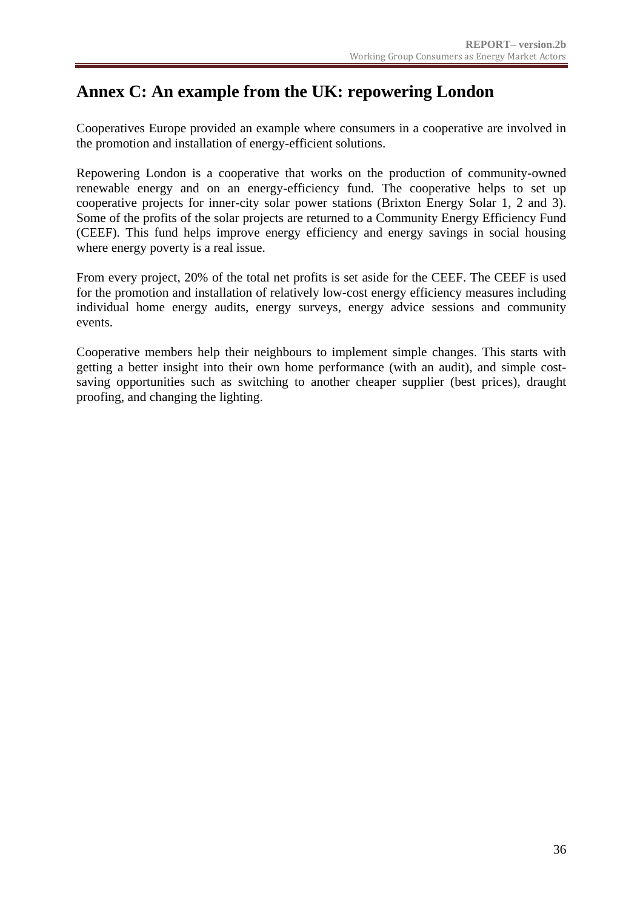### <span id="page-35-0"></span>**Annex C: An example from the UK: repowering London**

Cooperatives Europe provided an example where consumers in a cooperative are involved in the promotion and installation of energy-efficient solutions.

Repowering London is a cooperative that works on the production of community-owned renewable energy and on an energy-efficiency fund. The cooperative helps to set up cooperative projects for inner-city solar power stations (Brixton Energy Solar 1, 2 and 3). Some of the profits of the solar projects are returned to a Community Energy Efficiency Fund (CEEF). This fund helps improve energy efficiency and energy savings in social housing where energy poverty is a real issue.

From every project, 20% of the total net profits is set aside for the CEEF. The CEEF is used for the promotion and installation of relatively low-cost energy efficiency measures including individual home energy audits, energy surveys, energy advice sessions and community events.

Cooperative members help their neighbours to implement simple changes. This starts with getting a better insight into their own home performance (with an audit), and simple costsaving opportunities such as switching to another cheaper supplier (best prices), draught proofing, and changing the lighting.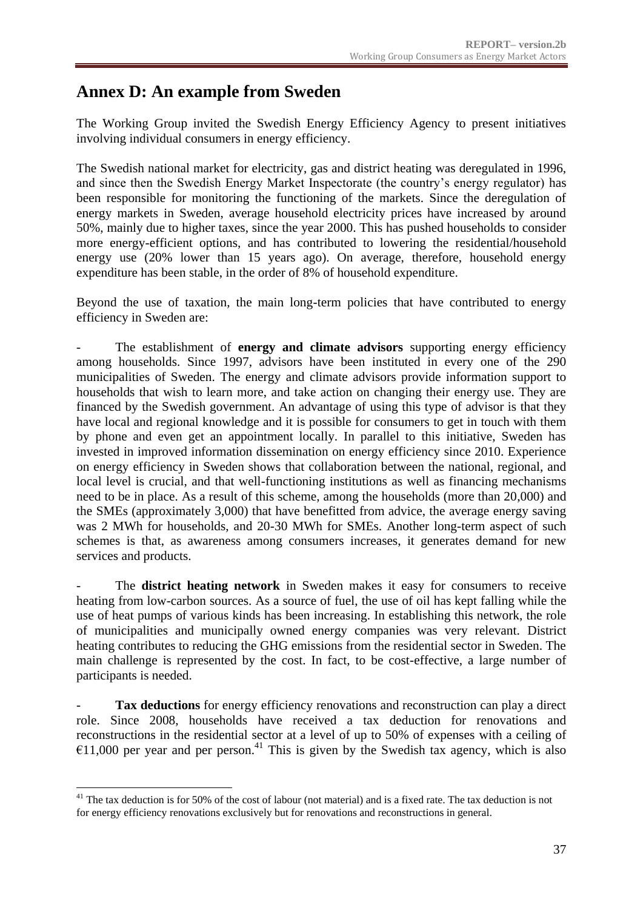### <span id="page-36-0"></span>**Annex D: An example from Sweden**

The Working Group invited the Swedish Energy Efficiency Agency to present initiatives involving individual consumers in energy efficiency.

The Swedish national market for electricity, gas and district heating was deregulated in 1996, and since then the Swedish Energy Market Inspectorate (the country's energy regulator) has been responsible for monitoring the functioning of the markets. Since the deregulation of energy markets in Sweden, average household electricity prices have increased by around 50%, mainly due to higher taxes, since the year 2000. This has pushed households to consider more energy-efficient options, and has contributed to lowering the residential/household energy use (20% lower than 15 years ago). On average, therefore, household energy expenditure has been stable, in the order of 8% of household expenditure.

Beyond the use of taxation, the main long-term policies that have contributed to energy efficiency in Sweden are:

The establishment of **energy and climate advisors** supporting energy efficiency among households. Since 1997, advisors have been instituted in every one of the 290 municipalities of Sweden. The energy and climate advisors provide information support to households that wish to learn more, and take action on changing their energy use. They are financed by the Swedish government. An advantage of using this type of advisor is that they have local and regional knowledge and it is possible for consumers to get in touch with them by phone and even get an appointment locally. In parallel to this initiative, Sweden has invested in improved information dissemination on energy efficiency since 2010. Experience on energy efficiency in Sweden shows that collaboration between the national, regional, and local level is crucial, and that well-functioning institutions as well as financing mechanisms need to be in place. As a result of this scheme, among the households (more than 20,000) and the SMEs (approximately 3,000) that have benefitted from advice, the average energy saving was 2 MWh for households, and 20-30 MWh for SMEs. Another long-term aspect of such schemes is that, as awareness among consumers increases, it generates demand for new services and products.

The **district heating network** in Sweden makes it easy for consumers to receive heating from low-carbon sources. As a source of fuel, the use of oil has kept falling while the use of heat pumps of various kinds has been increasing. In establishing this network, the role of municipalities and municipally owned energy companies was very relevant. District heating contributes to reducing the GHG emissions from the residential sector in Sweden. The main challenge is represented by the cost. In fact, to be cost-effective, a large number of participants is needed.

**Tax deductions** for energy efficiency renovations and reconstruction can play a direct role. Since 2008, households have received a tax deduction for renovations and reconstructions in the residential sector at a level of up to 50% of expenses with a ceiling of  $€11,000$  per year and per person.<sup>41</sup> This is given by the Swedish tax agency, which is also

1

 $41$  The tax deduction is for 50% of the cost of labour (not material) and is a fixed rate. The tax deduction is not for energy efficiency renovations exclusively but for renovations and reconstructions in general.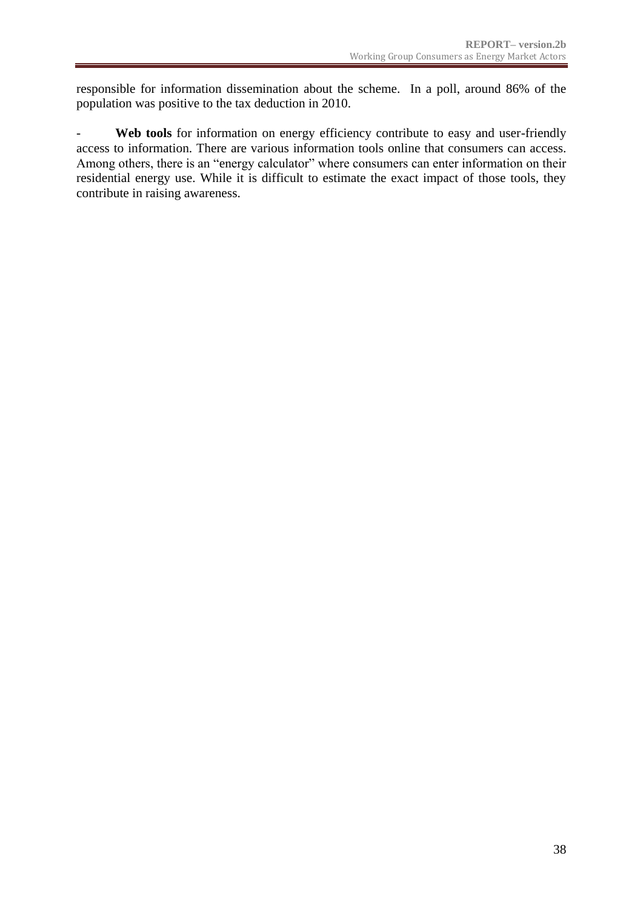responsible for information dissemination about the scheme. In a poll, around 86% of the population was positive to the tax deduction in 2010.

Web tools for information on energy efficiency contribute to easy and user-friendly access to information. There are various information tools online that consumers can access. Among others, there is an "energy calculator" where consumers can enter information on their residential energy use. While it is difficult to estimate the exact impact of those tools, they contribute in raising awareness.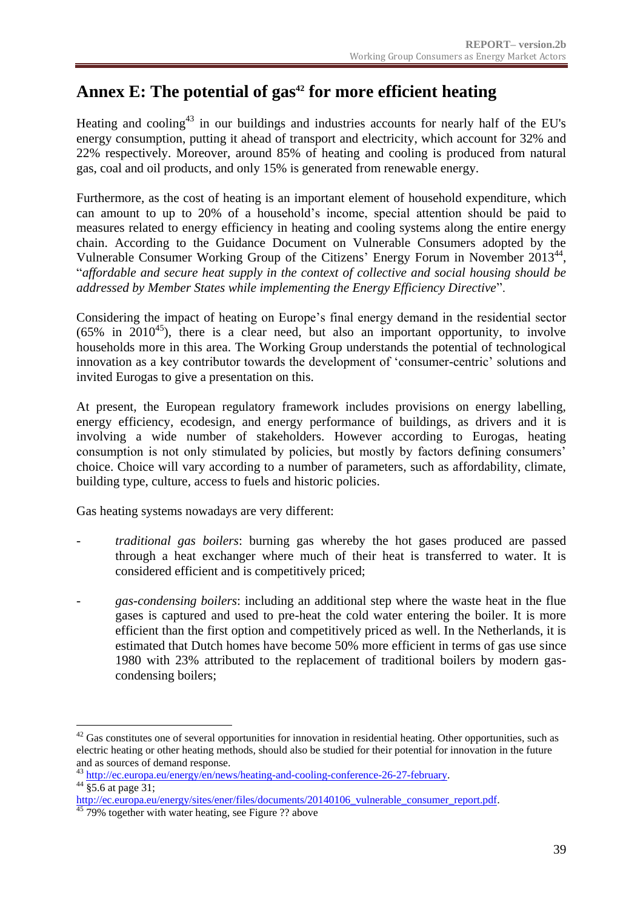## <span id="page-38-0"></span>**Annex E: The potential of gas<sup>42</sup> for more efficient heating**

Heating and cooling<sup>43</sup> in our buildings and industries accounts for nearly half of the EU's energy consumption, putting it ahead of transport and electricity, which account for 32% and 22% respectively. Moreover, around 85% of heating and cooling is produced from natural gas, coal and oil products, and only 15% is generated from renewable energy.

Furthermore, as the cost of heating is an important element of household expenditure, which can amount to up to 20% of a household's income, special attention should be paid to measures related to energy efficiency in heating and cooling systems along the entire energy chain. According to the Guidance Document on Vulnerable Consumers adopted by the Vulnerable Consumer Working Group of the Citizens' Energy Forum in November 2013<sup>44</sup>, "*affordable and secure heat supply in the context of collective and social housing should be addressed by Member States while implementing the Energy Efficiency Directive*".

Considering the impact of heating on Europe's final energy demand in the residential sector  $(65\%$  in 2010<sup>45</sup>), there is a clear need, but also an important opportunity, to involve households more in this area. The Working Group understands the potential of technological innovation as a key contributor towards the development of 'consumer-centric' solutions and invited Eurogas to give a presentation on this.

At present, the European regulatory framework includes provisions on energy labelling, energy efficiency, ecodesign, and energy performance of buildings, as drivers and it is involving a wide number of stakeholders. However according to Eurogas, heating consumption is not only stimulated by policies, but mostly by factors defining consumers' choice. Choice will vary according to a number of parameters, such as affordability, climate, building type, culture, access to fuels and historic policies.

Gas heating systems nowadays are very different:

- *traditional gas boilers*: burning gas whereby the hot gases produced are passed through a heat exchanger where much of their heat is transferred to water. It is considered efficient and is competitively priced;
- *gas-condensing boilers*: including an additional step where the waste heat in the flue gases is captured and used to pre-heat the cold water entering the boiler. It is more efficient than the first option and competitively priced as well. In the Netherlands, it is estimated that Dutch homes have become 50% more efficient in terms of gas use since 1980 with 23% attributed to the replacement of traditional boilers by modern gascondensing boilers;

1

 $42$  Gas constitutes one of several opportunities for innovation in residential heating. Other opportunities, such as electric heating or other heating methods, should also be studied for their potential for innovation in the future and as sources of demand response.

<sup>&</sup>lt;sup>43</sup> [http://ec.europa.eu/energy/en/news/heating-and-cooling-conference-26-27-february.](http://ec.europa.eu/energy/en/news/heating-and-cooling-conference-26-27-february)

 $44 \overline{$5.6$ at page 31};$ 

[http://ec.europa.eu/energy/sites/ener/files/documents/20140106\\_vulnerable\\_consumer\\_report.pdf.](http://ec.europa.eu/energy/sites/ener/files/documents/20140106_vulnerable_consumer_report.pdf)

<sup>&</sup>lt;sup>45</sup> 79% together with water heating, see Figure ?? above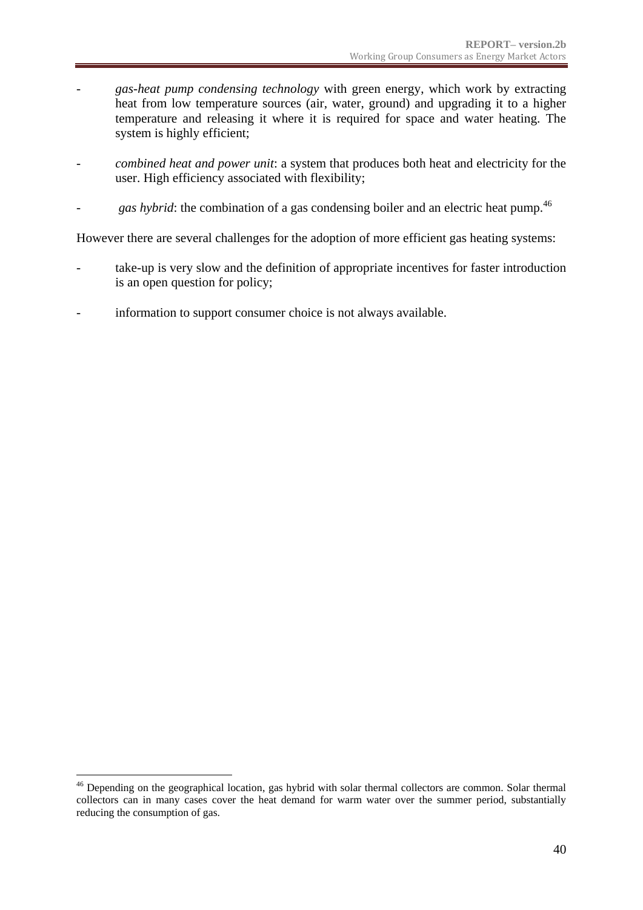- *gas-heat pump condensing technology* with green energy, which work by extracting heat from low temperature sources (air, water, ground) and upgrading it to a higher temperature and releasing it where it is required for space and water heating. The system is highly efficient;
- *combined heat and power unit*: a system that produces both heat and electricity for the user. High efficiency associated with flexibility;
- gas hybrid: the combination of a gas condensing boiler and an electric heat pump.<sup>46</sup>

However there are several challenges for the adoption of more efficient gas heating systems:

- take-up is very slow and the definition of appropriate incentives for faster introduction is an open question for policy;
- information to support consumer choice is not always available.

<u>.</u>

<sup>&</sup>lt;sup>46</sup> Depending on the geographical location, gas hybrid with solar thermal collectors are common. Solar thermal collectors can in many cases cover the heat demand for warm water over the summer period, substantially reducing the consumption of gas.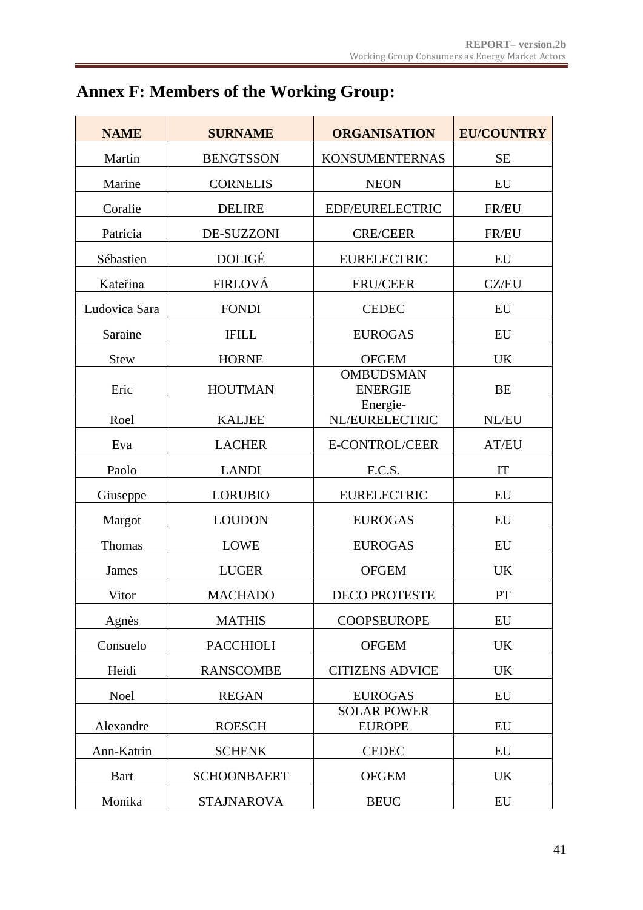<span id="page-40-0"></span>

|  |  | <b>Annex F: Members of the Working Group:</b> |  |  |  |
|--|--|-----------------------------------------------|--|--|--|
|--|--|-----------------------------------------------|--|--|--|

| <b>NAME</b>   | <b>SURNAME</b>     | <b>ORGANISATION</b>                 | <b>EU/COUNTRY</b> |
|---------------|--------------------|-------------------------------------|-------------------|
| Martin        | <b>BENGTSSON</b>   | <b>KONSUMENTERNAS</b>               | <b>SE</b>         |
| Marine        | <b>CORNELIS</b>    | <b>NEON</b>                         | EU                |
| Coralie       | <b>DELIRE</b>      | EDF/EURELECTRIC                     | FR/EU             |
| Patricia      | <b>DE-SUZZONI</b>  | <b>CRE/CEER</b>                     | FR/EU             |
| Sébastien     | <b>DOLIGÉ</b>      | <b>EURELECTRIC</b>                  | EU                |
| Kateřina      | <b>FIRLOVÁ</b>     | <b>ERU/CEER</b>                     | CZ/EU             |
| Ludovica Sara | <b>FONDI</b>       | <b>CEDEC</b>                        | EU                |
| Saraine       | <b>IFILL</b>       | <b>EUROGAS</b>                      | <b>EU</b>         |
| <b>Stew</b>   | <b>HORNE</b>       | <b>OFGEM</b>                        | <b>UK</b>         |
| Eric          | <b>HOUTMAN</b>     | <b>OMBUDSMAN</b><br><b>ENERGIE</b>  | <b>BE</b>         |
| Roel          | <b>KALJEE</b>      | Energie-<br>NL/EURELECTRIC          | NL/EU             |
| Eva           | <b>LACHER</b>      | E-CONTROL/CEER                      | AT/EU             |
| Paolo         | <b>LANDI</b>       | F.C.S.                              | IT                |
| Giuseppe      | <b>LORUBIO</b>     | <b>EURELECTRIC</b>                  | EU                |
| Margot        | <b>LOUDON</b>      | <b>EUROGAS</b>                      | EU                |
| Thomas        | <b>LOWE</b>        | <b>EUROGAS</b>                      | EU                |
| <b>James</b>  | <b>LUGER</b>       | <b>OFGEM</b>                        | <b>UK</b>         |
| Vitor         | <b>MACHADO</b>     | <b>DECO PROTESTE</b>                | PT                |
| Agnès         | <b>MATHIS</b>      | <b>COOPSEUROPE</b>                  | EU                |
| Consuelo      | <b>PACCHIOLI</b>   | <b>OFGEM</b>                        | <b>UK</b>         |
| Heidi         | <b>RANSCOMBE</b>   | <b>CITIZENS ADVICE</b>              | <b>UK</b>         |
| Noel          | <b>REGAN</b>       | <b>EUROGAS</b>                      | EU                |
| Alexandre     | <b>ROESCH</b>      | <b>SOLAR POWER</b><br><b>EUROPE</b> | EU                |
| Ann-Katrin    | <b>SCHENK</b>      | <b>CEDEC</b>                        | EU                |
| <b>Bart</b>   | <b>SCHOONBAERT</b> | <b>OFGEM</b>                        | UK                |
| Monika        | <b>STAJNAROVA</b>  | <b>BEUC</b>                         | EU                |